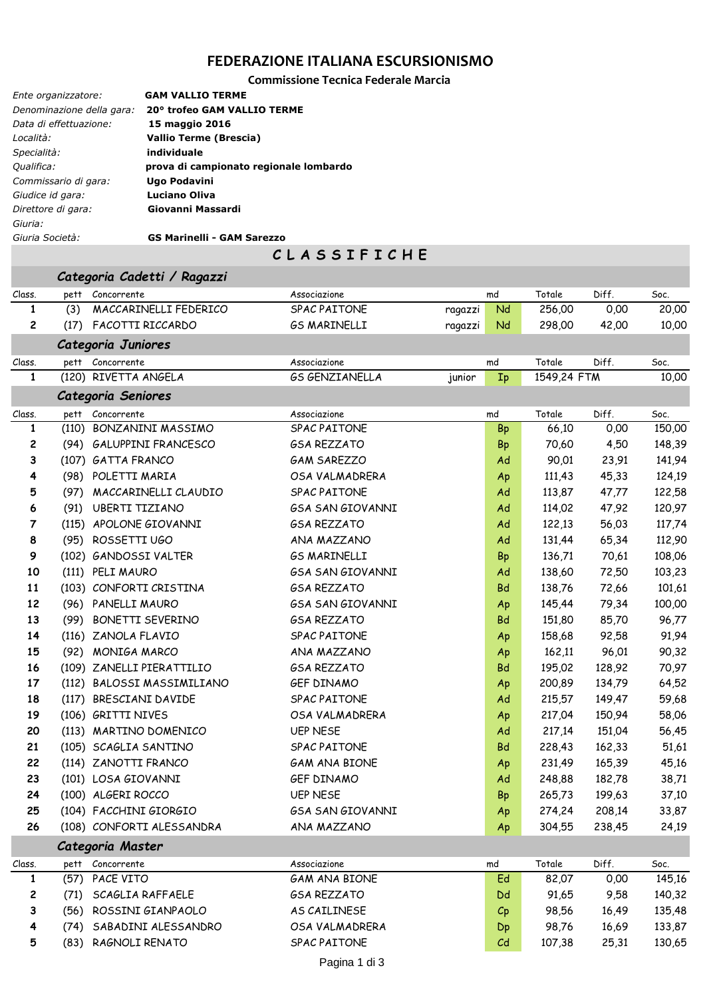### **FEDERAZIONE ITALIANA ESCURSIONISMO**

**Commissione Tecnica Federale Marcia**

| Ente organizzatore:       | <b>GAM VALLIO TERME</b>                |
|---------------------------|----------------------------------------|
| Denominazione della gara: | 20° trofeo GAM VALLIO TERME            |
| Data di effettuazione:    | 15 maggio 2016                         |
| Località:                 | Vallio Terme (Brescia)                 |
| Specialità:               | individuale                            |
| Qualifica:                | prova di campionato regionale lombardo |
| Commissario di gara:      | Ugo Podavini                           |
| Giudice id gara:          | <b>Luciano Oliva</b>                   |
| Direttore di gara:        | Giovanni Massardi                      |
| Giuria:                   |                                        |
| Giuria Società:           | <b>GS Marinelli - GAM Sarezzo</b>      |

## **C L A S S I F I C H E**

|        |      | Categoria Cadetti / Ragazzi |                         |         |           |             |                             |        |
|--------|------|-----------------------------|-------------------------|---------|-----------|-------------|-----------------------------|--------|
| Class. | pett | Concorrente                 | Associazione            |         | md        | Totale      | Diff.                       | Soc.   |
| 1      | (3)  | MACCARINELLI FEDERICO       | SPAC PAITONE            | ragazzi | Nd        | 256,00      | 0,00                        | 20,00  |
| 2      | (17) | FACOTTI RICCARDO            | <b>GS MARINELLI</b>     | ragazzi | Nd        | 298,00      | 42,00                       | 10,00  |
|        |      | Categoria Juniores          |                         |         |           |             |                             |        |
| Class. | pett | Concorrente                 | Associazione            |         | md        | Totale      | Diff.                       | Soc.   |
| 1      |      | (120) RIVETTA ANGELA        | <b>GS GENZIANELLA</b>   | junior  | Ip        | 1549,24 FTM |                             | 10,00  |
|        |      | Categoria Seniores          |                         |         |           |             |                             |        |
| Class. | pett | Concorrente                 | Associazione            |         | md        | Totale      | Diff.                       | Soc.   |
| 1      |      | (110) BONZANINI MASSIMO     | SPAC PAITONE            |         | Bp        | 66,10       | 0,00                        | 150,00 |
| 2      |      | (94) GALUPPINI FRANCESCO    | <b>GSA REZZATO</b>      |         | Bp        | 70,60       | 4,50                        | 148,39 |
| 3      |      | (107) GATTA FRANCO          | <b>GAM SAREZZO</b>      |         | Ad        | 90,01       | 23,91                       | 141,94 |
| 4      |      | (98) POLETTI MARIA          | OSA VALMADRERA          |         | Ap        | 111,43      | 45,33                       | 124,19 |
| 5      | (97) | MACCARINELLI CLAUDIO        | <b>SPAC PAITONE</b>     |         | Ad        | 113,87      | 47,77                       | 122,58 |
| 6      | (91) | <b>UBERTI TIZIANO</b>       | <b>GSA SAN GIOVANNI</b> |         | Ad        | 114,02      | 47,92                       | 120,97 |
| 7      |      | (115) APOLONE GIOVANNI      | <b>GSA REZZATO</b>      |         | Ad        | 122,13      | 56,03                       | 117,74 |
| 8      | (95) | ROSSETTI UGO                | ANA MAZZANO             |         | Ad        | 131,44      | 65,34                       | 112,90 |
| 9      |      | (102) GANDOSSI VALTER       | <b>GS MARINELLI</b>     |         | Bp        | 136,71      | 70,61                       | 108,06 |
| 10     |      | (111) PELI MAURO            | <b>GSA SAN GIOVANNI</b> |         | Ad        | 138,60      | 72,50                       | 103,23 |
| 11     |      | (103) CONFORTI CRISTINA     | <b>GSA REZZATO</b>      |         | <b>Bd</b> | 138,76      | 72,66                       | 101,61 |
| 12     |      | (96) PANELLI MAURO          | <b>GSA SAN GIOVANNI</b> |         | Ap        | 145,44      | 79,34                       | 100,00 |
| 13     | (99) | <b>BONETTI SEVERINO</b>     | <b>GSA REZZATO</b>      |         | Bd        | 151,80      | 85,70                       | 96,77  |
| 14     |      | (116) ZANOLA FLAVIO         | <b>SPAC PAITONE</b>     |         | Ap        | 158,68      | 92,58                       | 91,94  |
| 15     |      | (92) MONIGA MARCO           | ANA MAZZANO             |         | Ap        | 162,11      | 96,01                       | 90,32  |
| 16     |      | (109) ZANELLI PIERATTILIO   | <b>GSA REZZATO</b>      |         | Bd        | 195,02      | 128,92                      | 70,97  |
| 17     |      | (112) BALOSSI MASSIMILIANO  | <b>GEF DINAMO</b>       |         | Ap        | 200,89      | 134,79                      | 64,52  |
| 18     |      | (117) BRESCIANI DAVIDE      | <b>SPAC PAITONE</b>     |         | Ad        | 215,57      | 149,47                      | 59,68  |
| 19     |      | (106) GRITTI NIVES          | OSA VALMADRERA          |         | Ap        | 217,04      | 150,94                      | 58,06  |
| 20     |      | (113) MARTINO DOMENICO      | <b>UEP NESE</b>         |         | Ad        | 217,14      | 151,04                      | 56,45  |
| 21     |      | (105) SCAGLIA SANTINO       | <b>SPAC PAITONE</b>     |         | <b>Bd</b> | 228,43      | 162,33                      | 51,61  |
| 22     |      | (114) ZANOTTI FRANCO        | <b>GAM ANA BIONE</b>    |         | Ap        | 231,49      | 165,39                      | 45,16  |
| 23     |      | (101) LOSA GIOVANNI         | GEF DINAMO              |         | Ad        | 248,88      | 182,78                      | 38,71  |
| 24     |      | (100) ALGERI ROCCO          | <b>UEP NESE</b>         |         | Bp        | 265,73      | 199,63                      | 37,10  |
| 25     |      | (104) FACCHINI GIORGIO      | <b>GSA SAN GIOVANNI</b> |         | Ap        | 274,24      | 208,14                      | 33,87  |
| 26     |      | (108) CONFORTI ALESSANDRA   | ANA MAZZANO             |         | Ap        | 304,55      | 238,45                      | 24,19  |
|        |      | Categoria Master            |                         |         |           |             |                             |        |
|        |      |                             |                         |         |           | $T = 1.1$   | $\mathbf{N}$ : $\mathbf{r}$ |        |

### Class. pett Concorrente Associazione md Totale Diff. Soc. **1** (57) PACE VITO GAM ANA BIONE Ed 82,07 0,00 145,16 **2** (71) SCAGLIA RAFFAELE GSA REZZATO Dd 91,65 9,58 140,32 **3** (56) ROSSINI GIANPAOLO AS CAILINESE Cp 98,56 16,49 135,48 **4** (74) SABADINI ALESSANDRO OSA VALMADRERA Dp 98,76 16,69 133,87 **5** (83) RAGNOLI RENATO SPAC PAITONE Cd 107,38 25,31 130,65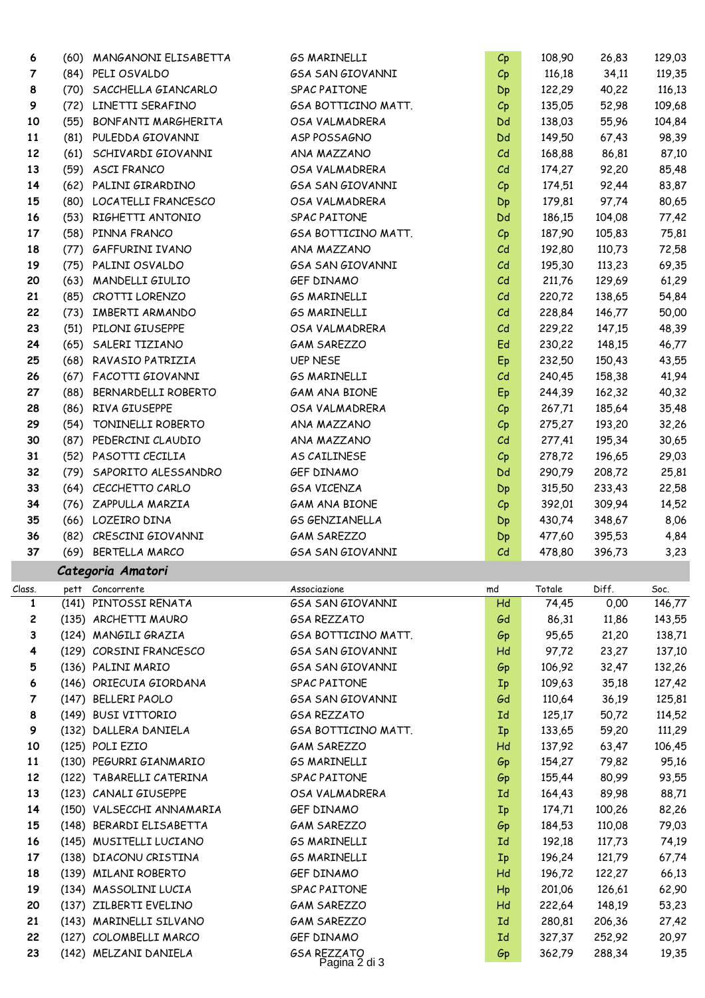| 6      | (60) | MANGANONI ELISABETTA      | <b>GS MARINELLI</b>                 | $C_{p}$                   | 108,90 | 26,83  | 129,03 |
|--------|------|---------------------------|-------------------------------------|---------------------------|--------|--------|--------|
| 7      | (84) | PELI OSVALDO              | <b>GSA SAN GIOVANNI</b>             | $C_{p}$                   | 116,18 | 34,11  | 119,35 |
| 8      |      | (70) SACCHELLA GIANCARLO  | SPAC PAITONE                        | Dp                        | 122,29 | 40,22  | 116,13 |
| 9      |      | (72) LINETTI SERAFINO     | GSA BOTTICINO MATT.                 | $C_{p}$                   | 135,05 | 52,98  | 109,68 |
| 10     | (55) | BONFANTI MARGHERITA       | OSA VALMADRERA                      | Dd                        | 138,03 | 55,96  | 104,84 |
| 11     | (81) | PULEDDA GIOVANNI          | ASP POSSAGNO                        | Dd                        | 149,50 | 67,43  | 98,39  |
| 12     | (61) | SCHIVARDI GIOVANNI        | ANA MAZZANO                         | Cd                        | 168,88 | 86,81  | 87,10  |
| 13     | (59) | ASCI FRANCO               | OSA VALMADRERA                      | C <sub>d</sub>            | 174,27 | 92,20  | 85,48  |
| 14     | (62) | PALINI GIRARDINO          | <b>GSA SAN GIOVANNI</b>             | $C_{p}$                   | 174,51 | 92,44  | 83,87  |
| 15     | (80) | LOCATELLI FRANCESCO       | OSA VALMADRERA                      | Dp                        | 179,81 | 97,74  | 80,65  |
| 16     | (53) | RIGHETTI ANTONIO          | SPAC PAITONE                        | Dd                        | 186,15 | 104,08 | 77,42  |
| 17     |      | (58) PINNA FRANCO         | GSA BOTTICINO MATT.                 | $C_{p}$                   | 187,90 | 105,83 | 75,81  |
| 18     | (77) | GAFFURINI IVANO           | ANA MAZZANO                         | Cd                        | 192,80 | 110,73 | 72,58  |
| 19     | (75) | PALINI OSVALDO            | <b>GSA SAN GIOVANNI</b>             | C <sub>d</sub>            | 195,30 | 113,23 | 69,35  |
| 20     | (63) | MANDELLI GIULIO           | GEF DINAMO                          | Cd                        | 211,76 | 129,69 | 61,29  |
| 21     | (85) | CROTTI LORENZO            | <b>GS MARINELLI</b>                 | Cd                        | 220,72 | 138,65 | 54,84  |
| 22     | (73) | IMBERTI ARMANDO           | <b>GS MARINELLI</b>                 | Cd                        | 228,84 | 146,77 | 50,00  |
| 23     | (51) | PILONI GIUSEPPE           | OSA VALMADRERA                      | C <sub>d</sub>            | 229,22 | 147,15 | 48,39  |
| 24     | (65) | SALERI TIZIANO            | <b>GAM SAREZZO</b>                  | Ed                        | 230,22 | 148,15 | 46,77  |
| 25     |      | (68) RAVASIO PATRIZIA     | <b>UEP NESE</b>                     | Ep                        | 232,50 | 150,43 | 43,55  |
| 26     | (67) | FACOTTI GIOVANNI          | <b>GS MARINELLI</b>                 | C <sub>d</sub>            | 240,45 | 158,38 | 41,94  |
| 27     | (88) | BERNARDELLI ROBERTO       | <b>GAM ANA BIONE</b>                | Ep                        | 244,39 | 162,32 | 40,32  |
| 28     | (86) | RIVA GIUSEPPE             | OSA VALMADRERA                      |                           | 267,71 | 185,64 | 35,48  |
| 29     | (54) | TONINELLI ROBERTO         | ANA MAZZANO                         | $C_{p}$                   | 275,27 | 193,20 | 32,26  |
| 30     |      | (87) PEDERCINI CLAUDIO    | ANA MAZZANO                         | $C_{p}$<br>C <sub>d</sub> | 277,41 | 195,34 | 30,65  |
| 31     | (52) | PASOTTI CECILIA           | AS CAILINESE                        |                           | 278,72 | 196,65 |        |
| 32     |      | SAPORITO ALESSANDRO       | GEF DINAMO                          | $C_{p}$                   |        |        | 29,03  |
|        | (79) |                           |                                     | Dd                        | 290,79 | 208,72 | 25,81  |
| 33     |      | (64) CECCHETTO CARLO      | <b>GSA VICENZA</b>                  | Dp                        | 315,50 | 233,43 | 22,58  |
| 34     |      | (76) ZAPPULLA MARZIA      | <b>GAM ANA BIONE</b>                | $C_{p}$                   | 392,01 | 309,94 | 14,52  |
|        |      |                           |                                     |                           |        |        |        |
| 35     |      | (66) LOZEIRO DINA         | <b>GS GENZIANELLA</b>               | Dp                        | 430,74 | 348,67 | 8,06   |
| 36     | (82) | CRESCINI GIOVANNI         | <b>GAM SAREZZO</b>                  | Dp                        | 477,60 | 395,53 | 4,84   |
| 37     | (69) | BERTELLA MARCO            | <b>GSA SAN GIOVANNI</b>             | C <sub>d</sub>            | 478,80 | 396,73 | 3,23   |
|        |      | Categoria Amatori         |                                     |                           |        |        |        |
| Class. | pett | Concorrente               | Associazione                        | md                        | Totale | Diff.  | Soc.   |
| 1      |      | (141) PINTOSSI RENATA     | <b>GSA SAN GIOVANNI</b>             | Hd                        | 74,45  | 0,00   | 146,77 |
| 2      |      | (135) ARCHETTI MAURO      | <b>GSA REZZATO</b>                  | Gd                        | 86,31  | 11,86  | 143,55 |
| З      |      | (124) MANGILI GRAZIA      | GSA BOTTICINO MATT.                 | Gp                        | 95,65  | 21,20  | 138,71 |
| 4      |      | (129) CORSINI FRANCESCO   | <b>GSA SAN GIOVANNI</b>             | Hd                        | 97,72  | 23,27  | 137,10 |
| 5      |      | (136) PALINI MARIO        | <b>GSA SAN GIOVANNI</b>             | Gp                        | 106,92 | 32,47  | 132,26 |
| 6      |      | (146) ORIECUIA GIORDANA   | SPAC PAITONE                        | Ip                        | 109,63 | 35,18  | 127,42 |
| 7      |      | (147) BELLERI PAOLO       | <b>GSA SAN GIOVANNI</b>             | Gd                        | 110,64 | 36,19  | 125,81 |
| 8      |      | (149) BUSI VITTORIO       | <b>GSA REZZATO</b>                  | Id                        | 125,17 | 50,72  | 114,52 |
| 9      |      | (132) DALLERA DANIELA     | GSA BOTTICINO MATT.                 | Ip                        | 133,65 | 59,20  | 111,29 |
| 10     |      | (125) POLI EZIO           | <b>GAM SAREZZO</b>                  | Hd                        | 137,92 | 63,47  | 106,45 |
| 11     |      | (130) PEGURRI GIANMARIO   | <b>GS MARINELLI</b>                 | Gp                        | 154,27 | 79,82  | 95,16  |
| 12     |      | (122) TABARELLI CATERINA  | SPAC PAITONE                        | Gp                        | 155,44 | 80,99  | 93,55  |
| 13     |      | (123) CANALI GIUSEPPE     | OSA VALMADRERA                      | Id                        | 164,43 | 89,98  | 88,71  |
| 14     |      | (150) VALSECCHI ANNAMARIA | GEF DINAMO                          | Ip                        | 174,71 | 100,26 | 82,26  |
| 15     |      | (148) BERARDI ELISABETTA  | <b>GAM SAREZZO</b>                  | Gp                        | 184,53 | 110,08 | 79,03  |
| 16     |      | (145) MUSITELLI LUCIANO   | <b>GS MARINELLI</b>                 | Id                        | 192,18 | 117,73 | 74,19  |
| 17     |      | (138) DIACONU CRISTINA    | <b>GS MARINELLI</b>                 | Ip                        | 196,24 | 121,79 | 67,74  |
| 18     |      | (139) MILANI ROBERTO      | GEF DINAMO                          | Hd                        | 196,72 | 122,27 | 66,13  |
| 19     |      | (134) MASSOLINI LUCIA     | SPAC PAITONE                        | Hp                        | 201,06 | 126,61 | 62,90  |
| 20     |      | (137) ZILBERTI EVELINO    | <b>GAM SAREZZO</b>                  | Hd                        | 222,64 | 148,19 | 53,23  |
| 21     |      | (143) MARINELLI SILVANO   | <b>GAM SAREZZO</b>                  | Id                        | 280,81 | 206,36 | 27,42  |
| 22     |      | (127) COLOMBELLI MARCO    | GEF DINAMO                          | Id                        | 327,37 | 252,92 | 20,97  |
| 23     |      | (142) MELZANI DANIELA     | <b>GSA REZZATO</b><br>Pagina 2 di 3 | Gp                        | 362,79 | 288,34 | 19,35  |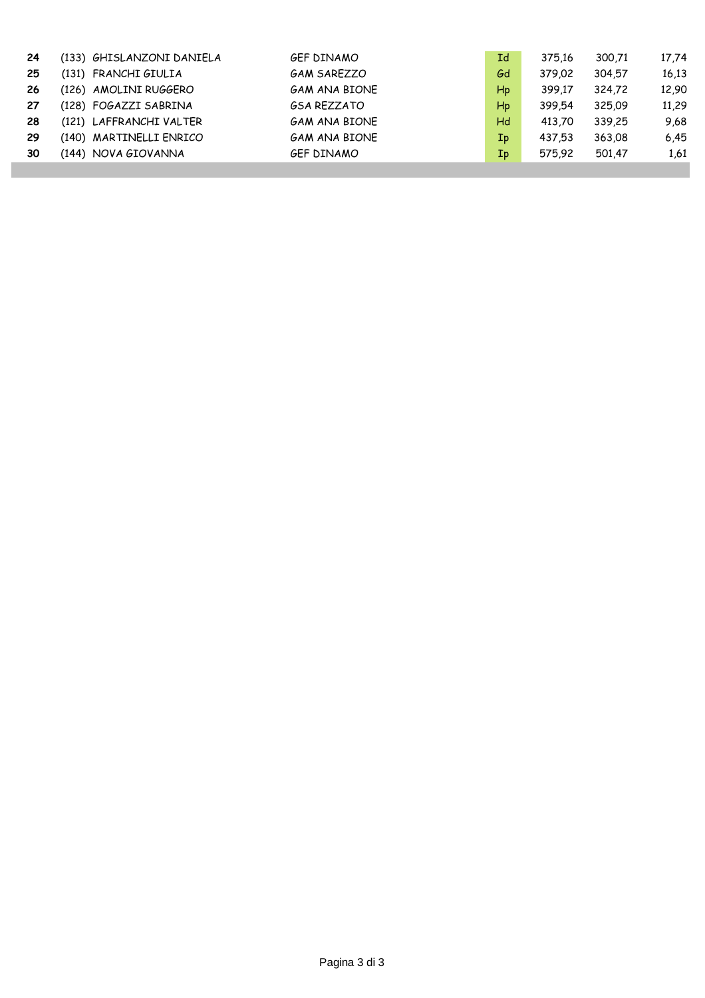| 24 | (133) GHISLANZONI DANIELA | <b>GEF DINAMO</b>    | Ιd                      | 375.16 | 300.71 | 17,74 |
|----|---------------------------|----------------------|-------------------------|--------|--------|-------|
| 25 | (131) FRANCHI GIULIA      | <b>GAM SAREZZO</b>   | Gd                      | 379.02 | 304.57 | 16,13 |
| 26 | (126) AMOLINI RUGGERO     | <b>GAM ANA BIONE</b> | Hp                      | 399.17 | 324.72 | 12,90 |
| 27 | (128) FOGAZZI SABRINA     | <b>GSA REZZATO</b>   | Hp                      | 399.54 | 325.09 | 11,29 |
| 28 | (121) LAFFRANCHI VALTER   | <b>GAM ANA BIONE</b> | Hd                      | 413.70 | 339.25 | 9.68  |
| 29 | (140) MARTINELLI ENRICO   | <b>GAM ANA BIONE</b> | $\mathbf{I} \mathbf{p}$ | 437.53 | 363.08 | 6,45  |
| 30 | (144) NOVA GIOVANNA       | <b>GEF DINAMO</b>    | Ip                      | 575.92 | 501.47 | 1,61  |
|    |                           |                      |                         |        |        |       |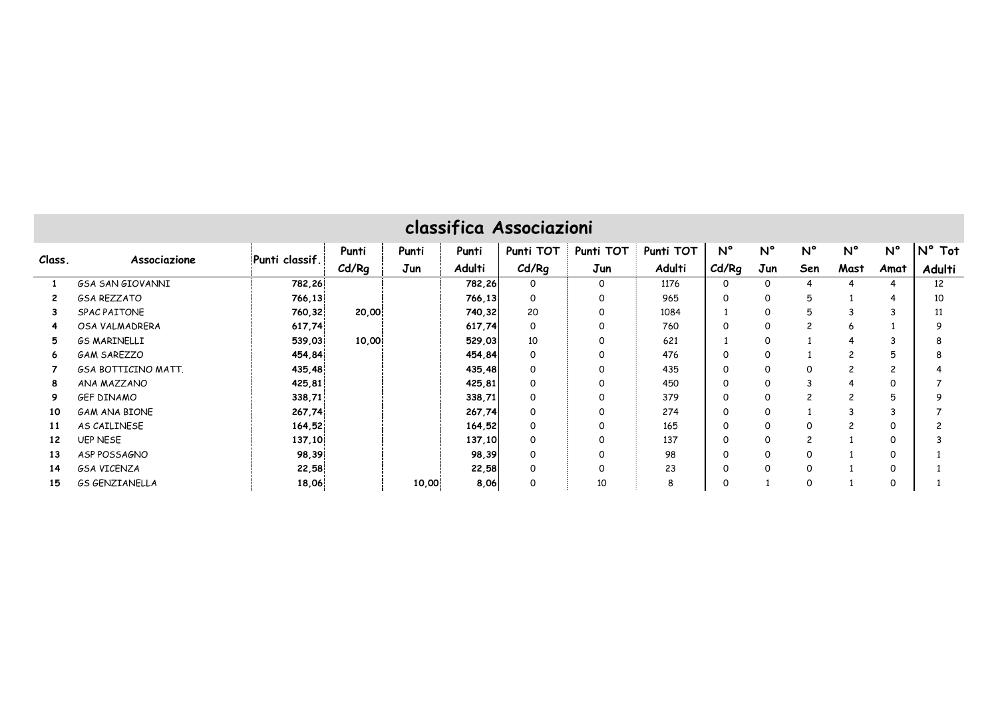|        |                            |                |       |       |        | classifica Associazioni |           |           |             |             |                          |                |                |                 |
|--------|----------------------------|----------------|-------|-------|--------|-------------------------|-----------|-----------|-------------|-------------|--------------------------|----------------|----------------|-----------------|
| Class. |                            |                | Punti | Punti | Punti  | Punti TOT               | Punti TOT | Punti TOT | $N^{\circ}$ | $N^{\circ}$ | $N^{\circ}$              | $N^{\circ}$    | $N^{\circ}$    | $N^{\circ}$ Tot |
|        | Associazione               | Punti classif. | Cd/Rg | Jun   | Adulti | Cd/Rq                   | Jun       | Adulti    | Cd/Rq       | Jun         | Sen                      | Mast           | Amat           | Adulti          |
|        | <b>GSA SAN GIOVANNI</b>    | 782,26         |       |       | 782,26 | 0                       | 0         | 1176      | $\Omega$    | 0           | 4                        |                | 4              | 12              |
| 2      | <b>GSA REZZATO</b>         | 766,13         |       |       | 766,13 | 0                       | 0         | 965       | $\Omega$    | 0           | 5                        |                | 4              | 10              |
| 3      | SPAC PAITONE               | 760,32         | 20,00 |       | 740,32 | 20                      | 0         | 1084      |             | $\Omega$    | 5                        | 3              | 3              | 11              |
| 4      | OSA VALMADRERA             | 617,74         |       |       | 617,74 | 0                       | 0         | 760       | $\Omega$    | 0           | $\overline{\phantom{0}}$ | 6              |                | 9               |
| 5      | <b>GS MARINELLI</b>        | 539,03         | 10,00 |       | 529,03 | 10                      | 0         | 621       |             | 0           |                          | 4              | 3              |                 |
| 6      | <b>GAM SAREZZO</b>         | 454,84         |       |       | 454,84 | 0                       | 0         | 476       | $\Omega$    | 0           |                          | $\overline{c}$ | 5              |                 |
|        | <b>GSA BOTTICINO MATT.</b> | 435,48         |       |       | 435,48 | 0                       | 0         | 435       | $\Omega$    | 0           | 0                        | $\overline{c}$ | $\overline{c}$ |                 |
| 8      | ANA MAZZANO                | 425,81         |       |       | 425,81 | 0                       | 0         | 450       | $\Omega$    | 0           | 3                        |                | $\Omega$       |                 |
| 9      | <b>GEF DINAMO</b>          | 338,71         |       |       | 338,71 | 0                       | 0         | 379       | $\Omega$    | $\Omega$    | $\overline{c}$           | $\overline{c}$ | 5              |                 |
| 10     | <b>GAM ANA BIONE</b>       | 267,74         |       |       | 267,74 | 0                       | 0         | 274       | $\Omega$    | 0           |                          | 3              |                |                 |
| 11     | AS CAILINESE               | 164,52         |       |       | 164,52 | 0                       | 0         | 165       | $\Omega$    | $\Omega$    | 0                        | $\overline{c}$ | $\Omega$       |                 |
| 12     | <b>UEP NESE</b>            | 137,10         |       |       | 137,10 | 0                       | 0         | 137       | $\Omega$    | $\Omega$    | $\overline{c}$           |                | 0              |                 |
| 13     | ASP POSSAGNO               | 98,39          |       |       | 98,39  | 0                       | $\Omega$  | 98        | $\Omega$    | $\Omega$    | 0                        |                | $\Omega$       |                 |
| 14     | <b>GSA VICENZA</b>         | 22,58          |       |       | 22,58  | 0                       | 0         | 23        | $\Omega$    | $\Omega$    | 0                        |                | $\Omega$       |                 |
| 15     | <b>GS GENZIANELLA</b>      | 18,06          |       | 10,00 | 8,06   | 0                       | 10        | 8         | 0           |             | O                        |                | 0              |                 |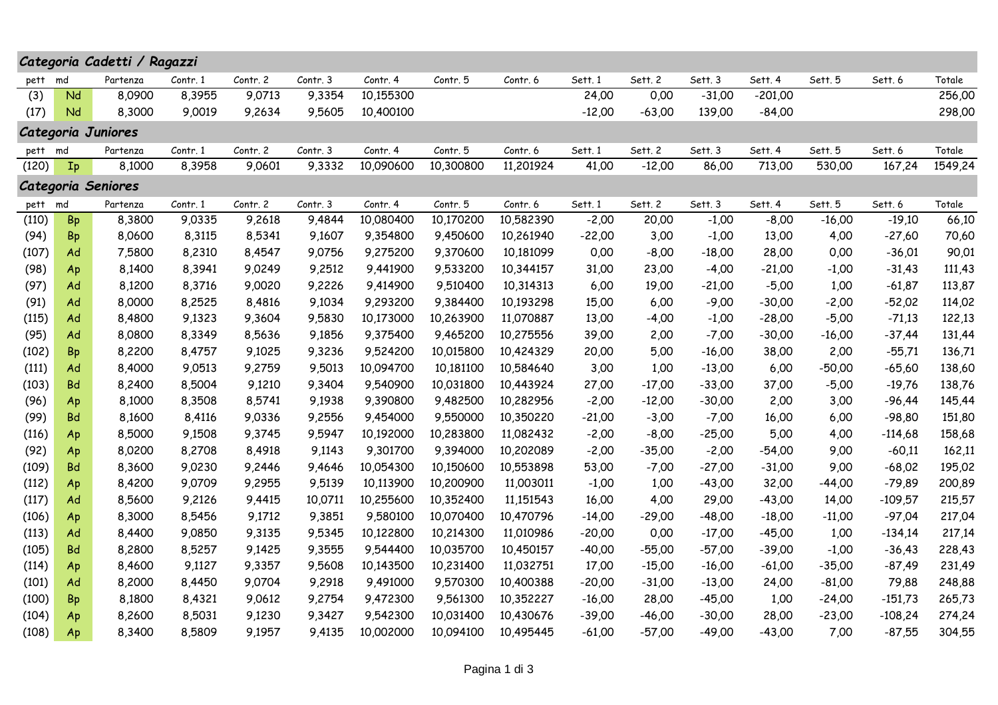|       |           | Categoria Cadetti / Ragazzi |          |          |          |           |           |           |          |          |          |           |          |           |         |
|-------|-----------|-----------------------------|----------|----------|----------|-----------|-----------|-----------|----------|----------|----------|-----------|----------|-----------|---------|
| pett  | md        | Partenza                    | Contr. 1 | Contr. 2 | Contr. 3 | Contr. 4  | Contr. 5  | Contr. 6  | Sett. 1  | Sett. 2  | Sett. 3  | Sett. 4   | Sett. 5  | Sett. 6   | Totale  |
| (3)   | Nd        | 8,0900                      | 8,3955   | 9,0713   | 9,3354   | 10,155300 |           |           | 24,00    | 0,00     | $-31,00$ | $-201,00$ |          |           | 256,00  |
| (17)  | Nd        | 8,3000                      | 9,0019   | 9,2634   | 9,5605   | 10,400100 |           |           | $-12,00$ | $-63,00$ | 139,00   | $-84,00$  |          |           | 298,00  |
|       |           | Categoria Juniores          |          |          |          |           |           |           |          |          |          |           |          |           |         |
| pett  | md        | Partenza                    | Contr. 1 | Contr. 2 | Contr. 3 | Contr. 4  | Contr. 5  | Contr. 6  | Sett. 1  | Sett. 2  | Sett. 3  | Sett. 4   | Sett. 5  | Sett. 6   | Totale  |
| (120) | $I_{p}$   | 8,1000                      | 8,3958   | 9,0601   | 9,3332   | 10,090600 | 10,300800 | 11,201924 | 41,00    | $-12,00$ | 86,00    | 713,00    | 530,00   | 167,24    | 1549,24 |
|       |           | Categoria Seniores          |          |          |          |           |           |           |          |          |          |           |          |           |         |
| pett  | md        | Partenza                    | Contr. 1 | Contr. 2 | Contr. 3 | Contr. 4  | Contr. 5  | Contr. 6  | Sett. 1  | Sett. 2  | Sett. 3  | Sett. 4   | Sett. 5  | Sett. 6   | Totale  |
| (110) | <b>Bp</b> | 8,3800                      | 9,0335   | 9,2618   | 9,4844   | 10,080400 | 10,170200 | 10,582390 | $-2,00$  | 20,00    | $-1,00$  | $-8,00$   | $-16,00$ | $-19,10$  | 66,10   |
| (94)  | <b>Bp</b> | 8,0600                      | 8,3115   | 8,5341   | 9,1607   | 9,354800  | 9,450600  | 10,261940 | $-22,00$ | 3,00     | $-1,00$  | 13,00     | 4,00     | $-27,60$  | 70,60   |
| (107) | Ad        | 7,5800                      | 8,2310   | 8,4547   | 9,0756   | 9,275200  | 9,370600  | 10,181099 | 0,00     | $-8,00$  | -18,00   | 28,00     | 0,00     | $-36,01$  | 90,01   |
| (98)  | Ap        | 8,1400                      | 8,3941   | 9,0249   | 9,2512   | 9,441900  | 9,533200  | 10,344157 | 31,00    | 23,00    | $-4,00$  | $-21,00$  | $-1,00$  | $-31,43$  | 111,43  |
| (97)  | Ad        | 8,1200                      | 8,3716   | 9,0020   | 9,2226   | 9,414900  | 9,510400  | 10,314313 | 6,00     | 19,00    | $-21,00$ | $-5,00$   | 1,00     | $-61,87$  | 113,87  |
| (91)  | Ad        | 8,0000                      | 8,2525   | 8,4816   | 9,1034   | 9,293200  | 9,384400  | 10,193298 | 15,00    | 6,00     | $-9,00$  | $-30,00$  | $-2,00$  | $-52,02$  | 114,02  |
| (115) | Ad        | 8,4800                      | 9,1323   | 9,3604   | 9,5830   | 10,173000 | 10,263900 | 11,070887 | 13,00    | $-4,00$  | $-1,00$  | $-28,00$  | $-5,00$  | $-71,13$  | 122,13  |
| (95)  | Ad        | 8,0800                      | 8,3349   | 8,5636   | 9,1856   | 9,375400  | 9,465200  | 10,275556 | 39,00    | 2,00     | $-7,00$  | $-30,00$  | $-16,00$ | $-37,44$  | 131,44  |
| (102) | Bp        | 8,2200                      | 8,4757   | 9,1025   | 9,3236   | 9,524200  | 10,015800 | 10,424329 | 20,00    | 5,00     | $-16,00$ | 38,00     | 2,00     | $-55,71$  | 136,71  |
| (111) | Ad        | 8,4000                      | 9,0513   | 9,2759   | 9,5013   | 10,094700 | 10,181100 | 10,584640 | 3,00     | 1,00     | $-13,00$ | 6,00      | $-50,00$ | $-65,60$  | 138,60  |
| (103) | <b>Bd</b> | 8,2400                      | 8,5004   | 9,1210   | 9,3404   | 9,540900  | 10,031800 | 10,443924 | 27,00    | $-17,00$ | $-33,00$ | 37,00     | $-5,00$  | $-19,76$  | 138,76  |
| (96)  | Ap        | 8,1000                      | 8,3508   | 8,5741   | 9,1938   | 9,390800  | 9,482500  | 10,282956 | $-2,00$  | $-12,00$ | $-30,00$ | 2,00      | 3,00     | $-96,44$  | 145,44  |
| (99)  | <b>Bd</b> | 8,1600                      | 8,4116   | 9,0336   | 9,2556   | 9,454000  | 9,550000  | 10,350220 | $-21,00$ | $-3,00$  | $-7,00$  | 16,00     | 6,00     | $-98,80$  | 151,80  |
| (116) | Ap        | 8,5000                      | 9,1508   | 9,3745   | 9,5947   | 10,192000 | 10,283800 | 11,082432 | $-2,00$  | $-8,00$  | $-25,00$ | 5,00      | 4,00     | -114,68   | 158,68  |
| (92)  | Ap        | 8,0200                      | 8,2708   | 8,4918   | 9,1143   | 9,301700  | 9,394000  | 10,202089 | $-2,00$  | $-35,00$ | $-2,00$  | $-54,00$  | 9,00     | $-60,11$  | 162,11  |
| (109) | Bd        | 8,3600                      | 9,0230   | 9,2446   | 9,4646   | 10,054300 | 10,150600 | 10,553898 | 53,00    | $-7,00$  | $-27,00$ | $-31,00$  | 9,00     | $-68,02$  | 195,02  |
| (112) | Ap        | 8,4200                      | 9,0709   | 9,2955   | 9,5139   | 10,113900 | 10,200900 | 11,003011 | $-1,00$  | 1,00     | $-43,00$ | 32,00     | $-44,00$ | $-79,89$  | 200,89  |
| (117) | Ad        | 8,5600                      | 9,2126   | 9,4415   | 10,0711  | 10,255600 | 10,352400 | 11,151543 | 16,00    | 4,00     | 29,00    | $-43,00$  | 14,00    | $-109,57$ | 215,57  |
| (106) | Ap        | 8,3000                      | 8,5456   | 9,1712   | 9,3851   | 9,580100  | 10,070400 | 10,470796 | $-14,00$ | $-29,00$ | $-48,00$ | $-18,00$  | $-11,00$ | $-97,04$  | 217,04  |
| (113) | Ad        | 8,4400                      | 9,0850   | 9,3135   | 9,5345   | 10,122800 | 10,214300 | 11,010986 | $-20,00$ | 0,00     | $-17,00$ | $-45,00$  | 1,00     | $-134,14$ | 217,14  |
| (105) | Bd        | 8,2800                      | 8,5257   | 9,1425   | 9,3555   | 9,544400  | 10,035700 | 10,450157 | $-40,00$ | $-55,00$ | $-57,00$ | $-39,00$  | $-1,00$  | $-36,43$  | 228,43  |
| (114) | Ap        | 8,4600                      | 9,1127   | 9,3357   | 9,5608   | 10,143500 | 10,231400 | 11,032751 | 17,00    | $-15,00$ | $-16,00$ | $-61,00$  | $-35,00$ | $-87,49$  | 231,49  |
| (101) | Ad        | 8,2000                      | 8,4450   | 9,0704   | 9,2918   | 9,491000  | 9,570300  | 10,400388 | $-20,00$ | $-31,00$ | $-13,00$ | 24,00     | $-81,00$ | 79,88     | 248,88  |
| (100) | <b>Bp</b> | 8,1800                      | 8,4321   | 9,0612   | 9,2754   | 9,472300  | 9,561300  | 10,352227 | $-16,00$ | 28,00    | $-45,00$ | 1,00      | $-24,00$ | $-151,73$ | 265,73  |
| (104) | Ap        | 8,2600                      | 8,5031   | 9,1230   | 9,3427   | 9,542300  | 10,031400 | 10,430676 | $-39,00$ | -46.00   | $-30,00$ | 28,00     | $-23,00$ | $-108,24$ | 274,24  |
| (108) | Ap        | 8,3400                      | 8,5809   | 9,1957   | 9,4135   | 10,002000 | 10,094100 | 10,495445 | $-61,00$ | $-57,00$ | $-49,00$ | $-43,00$  | 7,00     | $-87,55$  | 304,55  |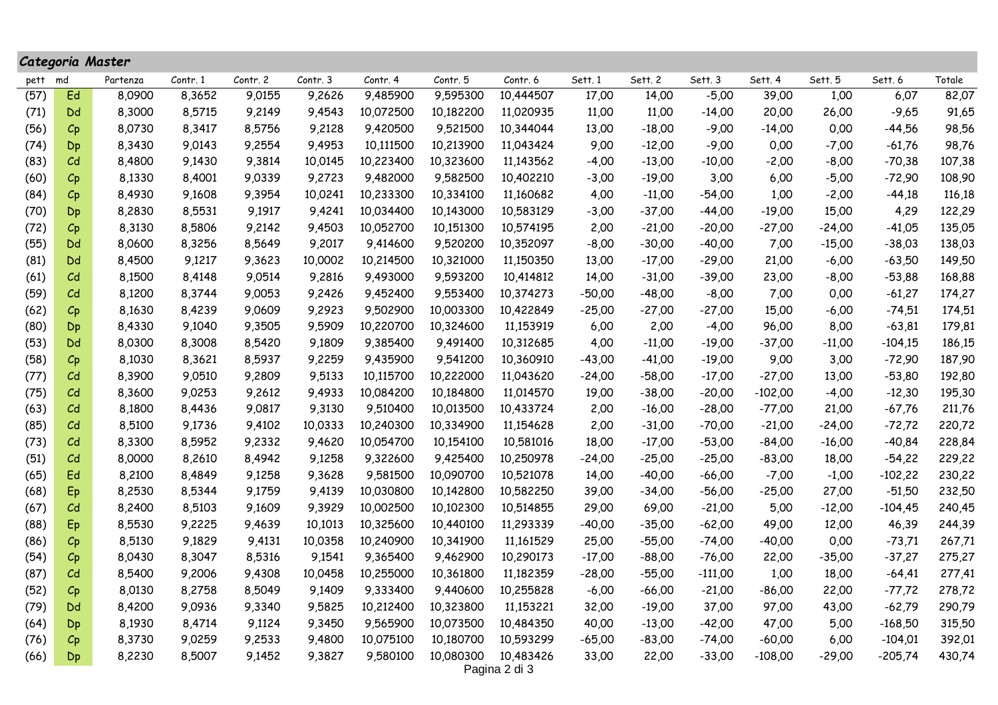|      | Categoria Master                                                                                                                                                                                                                                                                                                      |                            |        |        |         |           |           |               |          |          |           |           |          |           |        |
|------|-----------------------------------------------------------------------------------------------------------------------------------------------------------------------------------------------------------------------------------------------------------------------------------------------------------------------|----------------------------|--------|--------|---------|-----------|-----------|---------------|----------|----------|-----------|-----------|----------|-----------|--------|
| pett | Contr. 2<br>Contr. 6<br>Sett. 1<br>Sett. 2<br>Sett. 5<br>Contr. 1<br>Contr. 3<br>Contr. 4<br>Contr. 5<br>Sett. 3<br>Sett. 4<br>Sett. 6<br>Totale<br>Partenza<br>md<br>9,0155<br>9,485900<br>17,00<br>14,00<br>39,00<br>1,00<br>6,07<br>Ed<br>8,0900<br>8,3652<br>9,2626<br>9,595300<br>10,444507<br>$-5,00$<br>9,4543 |                            |        |        |         |           |           |               |          |          |           |           |          |           |        |
| (57) |                                                                                                                                                                                                                                                                                                                       |                            |        |        |         |           |           |               |          |          |           |           |          |           | 82,07  |
| (71) | Dd                                                                                                                                                                                                                                                                                                                    | 8,3000                     | 8,5715 | 9,2149 |         | 10,072500 | 10,182200 | 11,020935     | 11,00    | 11,00    | $-14,00$  | 20,00     | 26,00    | $-9,65$   | 91,65  |
| (56) | $C_{p}$                                                                                                                                                                                                                                                                                                               | 8,0730                     | 8,3417 | 8,5756 | 9,2128  | 9,420500  | 9,521500  | 10,344044     | 13,00    | $-18,00$ | $-9,00$   | $-14,00$  | 0,00     | $-44,56$  | 98,56  |
| (74) | Dp                                                                                                                                                                                                                                                                                                                    | 8,3430                     | 9,0143 | 9,2554 | 9,4953  | 10,111500 | 10,213900 | 11,043424     | 9,00     | $-12,00$ | $-9,00$   | 0,00      | $-7,00$  | $-61,76$  | 98,76  |
| (83) | C <sub>d</sub>                                                                                                                                                                                                                                                                                                        | 8,4800                     | 9,1430 | 9,3814 | 10,0145 | 10,223400 | 10,323600 | 11,143562     | $-4,00$  | $-13,00$ | $-10,00$  | $-2,00$   | $-8,00$  | $-70,38$  | 107,38 |
| (60) | $C_{p}$                                                                                                                                                                                                                                                                                                               | 8,1330                     | 8,4001 | 9,0339 | 9,2723  | 9,482000  | 9,582500  | 10,402210     | $-3,00$  | $-19,00$ | 3,00      | 6,00      | $-5,00$  | $-72,90$  | 108,90 |
| (84) | $C_{p}$                                                                                                                                                                                                                                                                                                               | 8,4930                     | 9,1608 | 9,3954 | 10,0241 | 10,233300 | 10,334100 | 11,160682     | 4,00     | $-11,00$ | $-54,00$  | 1,00      | $-2,00$  | -44,18    | 116,18 |
| (70) | Dp                                                                                                                                                                                                                                                                                                                    | 8,2830                     | 8,5531 | 9,1917 | 9,4241  | 10,034400 | 10,143000 | 10,583129     | $-3,00$  | $-37,00$ | $-44,00$  | $-19,00$  | 15,00    | 4,29      | 122,29 |
| (72) | $C_{p}$                                                                                                                                                                                                                                                                                                               | 8,3130                     | 8,5806 | 9,2142 | 9,4503  | 10,052700 | 10,151300 | 10,574195     | 2,00     | $-21,00$ | $-20,00$  | $-27,00$  | $-24,00$ | $-41,05$  | 135,05 |
| (55) | Dd                                                                                                                                                                                                                                                                                                                    | 8,0600                     | 8,3256 | 8,5649 | 9,2017  | 9,414600  | 9,520200  | 10,352097     | $-8,00$  | $-30,00$ | $-40,00$  | 7,00      | $-15,00$ | $-38,03$  | 138,03 |
| (81) | Dd                                                                                                                                                                                                                                                                                                                    | 8,4500                     | 9,1217 | 9,3623 | 10,0002 | 10,214500 | 10,321000 | 11,150350     | 13,00    | $-17,00$ | $-29,00$  | 21,00     | $-6,00$  | $-63,50$  | 149,50 |
| (61) | $\mathcal{C}$ d                                                                                                                                                                                                                                                                                                       | 8,1500                     | 8,4148 | 9,0514 | 9,2816  | 9,493000  | 9,593200  | 10,414812     | 14,00    | $-31,00$ | $-39,00$  | 23,00     | $-8,00$  | $-53,88$  | 168,88 |
| (59) | C <sub>d</sub>                                                                                                                                                                                                                                                                                                        | 8,1200                     | 8,3744 | 9,0053 | 9,2426  | 9,452400  | 9,553400  | 10,374273     | $-50,00$ | $-48,00$ | $-8,00$   | 7,00      | 0,00     | $-61,27$  | 174,27 |
| (62) | $C_{p}$                                                                                                                                                                                                                                                                                                               | 8,1630                     | 8,4239 | 9,0609 | 9,2923  | 9,502900  | 10,003300 | 10,422849     | $-25,00$ | $-27,00$ | $-27,00$  | 15,00     | $-6,00$  | $-74,51$  | 174,51 |
| (80) | Dp                                                                                                                                                                                                                                                                                                                    | 8,4330                     | 9,1040 | 9,3505 | 9,5909  | 10,220700 | 10,324600 | 11,153919     | 6,00     | 2,00     | $-4,00$   | 96,00     | 8,00     | $-63,81$  | 179,81 |
| (53) | Dd                                                                                                                                                                                                                                                                                                                    | 8,0300                     | 8,3008 | 8,5420 | 9,1809  | 9,385400  | 9,491400  | 10,312685     | 4,00     | $-11,00$ | $-19,00$  | $-37,00$  | $-11,00$ | $-104,15$ | 186,15 |
| (58) | $C_{p}$                                                                                                                                                                                                                                                                                                               | 8,1030                     | 8,3621 | 8,5937 | 9,2259  | 9,435900  | 9,541200  | 10,360910     | $-43,00$ | $-41,00$ | $-19,00$  | 9,00      | 3,00     | $-72,90$  | 187,90 |
| (77) | C <sub>d</sub>                                                                                                                                                                                                                                                                                                        | 8,3900                     | 9,0510 | 9,2809 | 9,5133  | 10,115700 | 10,222000 | 11,043620     | $-24,00$ | $-58,00$ | $-17,00$  | $-27,00$  | 13,00    | $-53,80$  | 192,80 |
| (75) | C <sub>d</sub>                                                                                                                                                                                                                                                                                                        | 8,3600                     | 9,0253 | 9,2612 | 9,4933  | 10,084200 | 10,184800 | 11,014570     | 19,00    | $-38,00$ | $-20,00$  | $-102,00$ | $-4,00$  | $-12,30$  | 195,30 |
| (63) | C <sub>d</sub>                                                                                                                                                                                                                                                                                                        | 8,1800                     | 8,4436 | 9,0817 | 9,3130  | 9,510400  | 10,013500 | 10,433724     | 2,00     | $-16,00$ | $-28,00$  | $-77,00$  | 21,00    | $-67,76$  | 211,76 |
| (85) | C <sub>d</sub>                                                                                                                                                                                                                                                                                                        | 8,5100                     | 9,1736 | 9,4102 | 10,0333 | 10,240300 | 10,334900 | 11,154628     | 2,00     | $-31,00$ | $-70,00$  | $-21,00$  | $-24,00$ | $-72,72$  | 220,72 |
| (73) | C <sub>d</sub>                                                                                                                                                                                                                                                                                                        | 8,3300                     | 8,5952 | 9,2332 | 9,4620  | 10,054700 | 10,154100 | 10,581016     | 18,00    | $-17,00$ | $-53,00$  | $-84,00$  | $-16,00$ | $-40,84$  | 228,84 |
| (51) | C <sub>d</sub>                                                                                                                                                                                                                                                                                                        | 8,0000                     | 8,2610 | 8,4942 | 9,1258  | 9,322600  | 9,425400  | 10,250978     | $-24,00$ | $-25,00$ | $-25,00$  | $-83,00$  | 18,00    | $-54,22$  | 229,22 |
| (65) | Ed                                                                                                                                                                                                                                                                                                                    | 8,2100                     | 8,4849 | 9,1258 | 9,3628  | 9,581500  | 10,090700 | 10,521078     | 14,00    | $-40,00$ | $-66,00$  | $-7,00$   | $-1,00$  | $-102,22$ | 230,22 |
| (68) | Ep                                                                                                                                                                                                                                                                                                                    | 8,2530                     | 8,5344 | 9,1759 | 9,4139  | 10,030800 | 10,142800 | 10,582250     | 39,00    | $-34,00$ | $-56,00$  | $-25,00$  | 27,00    | $-51,50$  | 232,50 |
| (67) | C <sub>d</sub>                                                                                                                                                                                                                                                                                                        | 8,2400                     | 8,5103 | 9,1609 | 9,3929  | 10,002500 | 10,102300 | 10,514855     | 29,00    | 69,00    | $-21,00$  | 5,00      | $-12,00$ | $-104,45$ | 240,45 |
| (88) | Ep                                                                                                                                                                                                                                                                                                                    | 8,5530                     | 9,2225 | 9,4639 | 10,1013 | 10,325600 | 10,440100 | 11,293339     | -40,00   | $-35,00$ | $-62,00$  | 49,00     | 12,00    | 46,39     | 244,39 |
| (86) | $C_{p}$                                                                                                                                                                                                                                                                                                               | 8,5130                     | 9,1829 | 9,4131 | 10,0358 | 10,240900 | 10,341900 | 11,161529     | 25,00    | $-55,00$ | $-74,00$  | $-40,00$  | 0,00     | $-73,71$  | 267,71 |
| (54) | $C_{p}$                                                                                                                                                                                                                                                                                                               | 8,0430                     | 8,3047 | 8,5316 | 9,1541  | 9,365400  | 9,462900  | 10,290173     | $-17,00$ | $-88,00$ | $-76,00$  | 22,00     | $-35,00$ | $-37,27$  | 275,27 |
| (87) | C <sub>d</sub>                                                                                                                                                                                                                                                                                                        | 8,5400<br>9,2006<br>9,4308 |        |        | 10,0458 | 10,255000 | 10,361800 | 11,182359     | $-28,00$ | $-55,00$ | $-111,00$ | 1,00      | 18,00    | $-64,41$  | 277,41 |
| (52) | $C_{\mathsf{P}}$                                                                                                                                                                                                                                                                                                      | 8,0130                     | 8,2758 | 8,5049 | 9,1409  | 9,333400  | 9,440600  | 10,255828     | $-6,00$  | $-66,00$ | $-21,00$  | $-86,00$  | 22,00    | $-77,72$  | 278,72 |
| (79) | Dd                                                                                                                                                                                                                                                                                                                    | 8,4200                     | 9,0936 | 9,3340 | 9,5825  | 10,212400 | 10,323800 | 11,153221     | 32,00    | $-19,00$ | 37,00     | 97,00     | 43,00    | $-62,79$  | 290,79 |
| (64) | Dp                                                                                                                                                                                                                                                                                                                    | 8,1930                     | 8,4714 | 9,1124 | 9,3450  | 9,565900  | 10,073500 | 10,484350     | 40,00    | $-13,00$ | $-42,00$  | 47,00     | 5,00     | $-168,50$ | 315,50 |
| (76) | $C_{p}$                                                                                                                                                                                                                                                                                                               | 8,3730                     | 9,0259 | 9,2533 | 9,4800  | 10,075100 | 10,180700 | 10,593299     | $-65,00$ | $-83,00$ | $-74,00$  | $-60,00$  | 6,00     | $-104,01$ | 392,01 |
| (66) | Dp                                                                                                                                                                                                                                                                                                                    | 8,2230                     | 8,5007 | 9,1452 | 9,3827  | 9,580100  | 10,080300 | 10,483426     | 33,00    | 22,00    | $-33,00$  | $-108,00$ | $-29,00$ | $-205,74$ | 430,74 |
|      |                                                                                                                                                                                                                                                                                                                       |                            |        |        |         |           |           | Pagina 2 di 3 |          |          |           |           |          |           |        |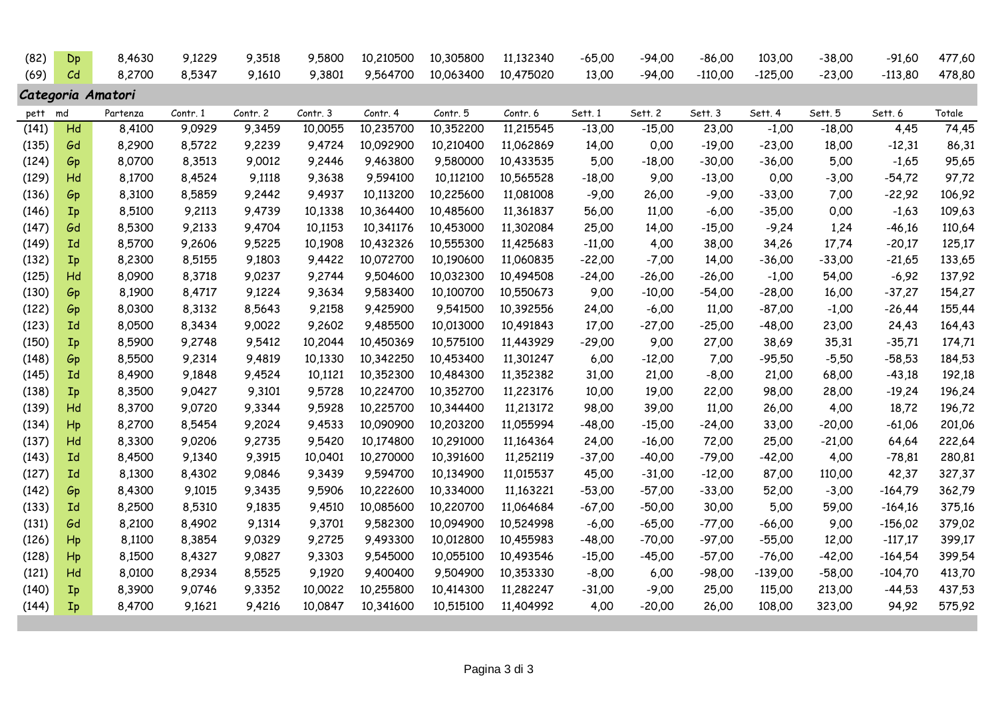| (82)  | Dp             | 8,4630            | 9,1229   | 9,3518   | 9,5800   | 10,210500 | 10,305800 | 11,132340 | $-65,00$ | $-94,00$ | $-86,00$  | 103,00    | $-38,00$ | $-91,60$  | 477,60 |
|-------|----------------|-------------------|----------|----------|----------|-----------|-----------|-----------|----------|----------|-----------|-----------|----------|-----------|--------|
| (69)  | C <sub>d</sub> | 8,2700            | 8,5347   | 9,1610   | 9,3801   | 9,564700  | 10,063400 | 10,475020 | 13,00    | $-94,00$ | $-110,00$ | $-125,00$ | $-23,00$ | $-113,80$ | 478,80 |
|       |                | Categoria Amatori |          |          |          |           |           |           |          |          |           |           |          |           |        |
| pett  | md             | Partenza          | Contr. 1 | Contr. 2 | Contr. 3 | Contr. 4  | Contr. 5  | Contr. 6  | Sett. 1  | Sett. 2  | Sett. 3   | Sett. 4   | Sett. 5  | Sett. 6   | Totale |
| (141) | Hd             | 8,4100            | 9,0929   | 9,3459   | 10,0055  | 10,235700 | 10,352200 | 11,215545 | $-13,00$ | $-15,00$ | 23,00     | $-1,00$   | $-18,00$ | 4,45      | 74,45  |
| (135) | Gd             | 8,2900            | 8,5722   | 9,2239   | 9,4724   | 10,092900 | 10,210400 | 11,062869 | 14,00    | 0,00     | $-19,00$  | $-23,00$  | 18,00    | $-12,31$  | 86,31  |
| (124) | Gp             | 8,0700            | 8,3513   | 9,0012   | 9,2446   | 9,463800  | 9,580000  | 10,433535 | 5,00     | $-18,00$ | $-30,00$  | $-36,00$  | 5,00     | $-1,65$   | 95,65  |
| (129) | Hd             | 8,1700            | 8,4524   | 9,1118   | 9,3638   | 9,594100  | 10,112100 | 10,565528 | $-18,00$ | 9,00     | $-13,00$  | 0,00      | $-3,00$  | $-54,72$  | 97,72  |
| (136) | Gp             | 8,3100            | 8,5859   | 9,2442   | 9,4937   | 10,113200 | 10,225600 | 11,081008 | $-9,00$  | 26,00    | $-9,00$   | $-33,00$  | 7,00     | $-22,92$  | 106,92 |
| (146) | Ip             | 8,5100            | 9,2113   | 9,4739   | 10,1338  | 10,364400 | 10,485600 | 11,361837 | 56,00    | 11,00    | $-6,00$   | $-35,00$  | 0,00     | $-1,63$   | 109,63 |
| (147) | Gd             | 8,5300            | 9,2133   | 9,4704   | 10,1153  | 10,341176 | 10,453000 | 11,302084 | 25,00    | 14,00    | $-15,00$  | $-9,24$   | 1,24     | $-46,16$  | 110,64 |
| (149) | Ιd             | 8,5700            | 9,2606   | 9,5225   | 10,1908  | 10,432326 | 10,555300 | 11,425683 | $-11,00$ | 4,00     | 38,00     | 34,26     | 17,74    | $-20,17$  | 125,17 |
| (132) | Ip             | 8,2300            | 8,5155   | 9,1803   | 9,4422   | 10,072700 | 10,190600 | 11,060835 | $-22,00$ | $-7,00$  | 14,00     | $-36,00$  | $-33,00$ | $-21,65$  | 133,65 |
| (125) | Hd             | 8,0900            | 8,3718   | 9,0237   | 9,2744   | 9,504600  | 10,032300 | 10,494508 | $-24,00$ | $-26,00$ | $-26,00$  | $-1,00$   | 54,00    | $-6,92$   | 137,92 |
| (130) | Gp             | 8,1900            | 8,4717   | 9,1224   | 9,3634   | 9,583400  | 10,100700 | 10,550673 | 9,00     | $-10,00$ | $-54,00$  | $-28,00$  | 16,00    | $-37,27$  | 154,27 |
| (122) | Gp             | 8,0300            | 8,3132   | 8,5643   | 9,2158   | 9,425900  | 9,541500  | 10,392556 | 24,00    | $-6,00$  | 11,00     | $-87,00$  | $-1,00$  | $-26,44$  | 155,44 |
| (123) | <b>Id</b>      | 8,0500            | 8,3434   | 9,0022   | 9,2602   | 9,485500  | 10,013000 | 10,491843 | 17,00    | $-27,00$ | $-25,00$  | $-48,00$  | 23,00    | 24,43     | 164,43 |
| (150) | Ip             | 8,5900            | 9,2748   | 9,5412   | 10,2044  | 10,450369 | 10,575100 | 11,443929 | $-29,00$ | 9,00     | 27,00     | 38,69     | 35,31    | $-35,71$  | 174,71 |
| (148) | Gp             | 8,5500            | 9,2314   | 9,4819   | 10,1330  | 10,342250 | 10,453400 | 11,301247 | 6,00     | $-12,00$ | 7,00      | $-95,50$  | $-5,50$  | $-58,53$  | 184,53 |
| (145) | <b>Id</b>      | 8,4900            | 9,1848   | 9,4524   | 10,1121  | 10,352300 | 10,484300 | 11,352382 | 31,00    | 21,00    | $-8,00$   | 21,00     | 68,00    | $-43,18$  | 192,18 |
| (138) | Ip             | 8,3500            | 9,0427   | 9,3101   | 9,5728   | 10,224700 | 10,352700 | 11,223176 | 10,00    | 19,00    | 22,00     | 98,00     | 28,00    | $-19,24$  | 196,24 |
| (139) | Hd             | 8,3700            | 9,0720   | 9,3344   | 9,5928   | 10,225700 | 10,344400 | 11,213172 | 98,00    | 39,00    | 11,00     | 26,00     | 4,00     | 18,72     | 196,72 |
| (134) | H              | 8,2700            | 8,5454   | 9,2024   | 9,4533   | 10,090900 | 10,203200 | 11,055994 | $-48,00$ | $-15,00$ | $-24,00$  | 33,00     | $-20,00$ | $-61,06$  | 201,06 |
| (137) | Hd             | 8,3300            | 9,0206   | 9,2735   | 9,5420   | 10,174800 | 10,291000 | 11,164364 | 24,00    | $-16,00$ | 72,00     | 25,00     | $-21,00$ | 64,64     | 222,64 |
| (143) | Ιd             | 8,4500            | 9,1340   | 9,3915   | 10,0401  | 10,270000 | 10,391600 | 11,252119 | $-37,00$ | $-40,00$ | $-79,00$  | $-42,00$  | 4,00     | $-78,81$  | 280,81 |
| (127) | <b>Id</b>      | 8,1300            | 8,4302   | 9,0846   | 9,3439   | 9,594700  | 10,134900 | 11,015537 | 45,00    | $-31,00$ | $-12,00$  | 87,00     | 110,00   | 42,37     | 327,37 |
| (142) | Gp             | 8,4300            | 9,1015   | 9,3435   | 9,5906   | 10,222600 | 10,334000 | 11,163221 | $-53,00$ | $-57,00$ | $-33,00$  | 52,00     | $-3,00$  | $-164,79$ | 362,79 |
| (133) | <b>Id</b>      | 8,2500            | 8,5310   | 9,1835   | 9,4510   | 10,085600 | 10,220700 | 11,064684 | $-67,00$ | $-50,00$ | 30,00     | 5,00      | 59,00    | $-164,16$ | 375,16 |
| (131) | Gd             | 8,2100            | 8,4902   | 9,1314   | 9,3701   | 9,582300  | 10,094900 | 10,524998 | $-6,00$  | $-65,00$ | $-77,00$  | $-66,00$  | 9,00     | $-156,02$ | 379,02 |
| (126) | Hp             | 8,1100            | 8,3854   | 9,0329   | 9,2725   | 9,493300  | 10,012800 | 10,455983 | $-48,00$ | $-70,00$ | $-97,00$  | $-55,00$  | 12,00    | $-117,17$ | 399,17 |
| (128) | $H_{p}$        | 8,1500            | 8,4327   | 9,0827   | 9,3303   | 9,545000  | 10,055100 | 10,493546 | $-15,00$ | $-45,00$ | $-57,00$  | $-76,00$  | $-42,00$ | $-164,54$ | 399,54 |
| (121) | Hd             | 8,0100            | 8,2934   | 8,5525   | 9,1920   | 9,400400  | 9,504900  | 10,353330 | $-8,00$  | 6,00     | $-98,00$  | $-139,00$ | $-58,00$ | $-104,70$ | 413,70 |
| (140) | Ip             | 8,3900            | 9,0746   | 9,3352   | 10,0022  | 10,255800 | 10,414300 | 11,282247 | $-31,00$ | $-9,00$  | 25,00     | 115,00    | 213,00   | $-44,53$  | 437,53 |
| (144) | Ip             | 8,4700            | 9,1621   | 9,4216   | 10,0847  | 10,341600 | 10,515100 | 11,404992 | 4,00     | $-20,00$ | 26,00     | 108,00    | 323,00   | 94,92     | 575,92 |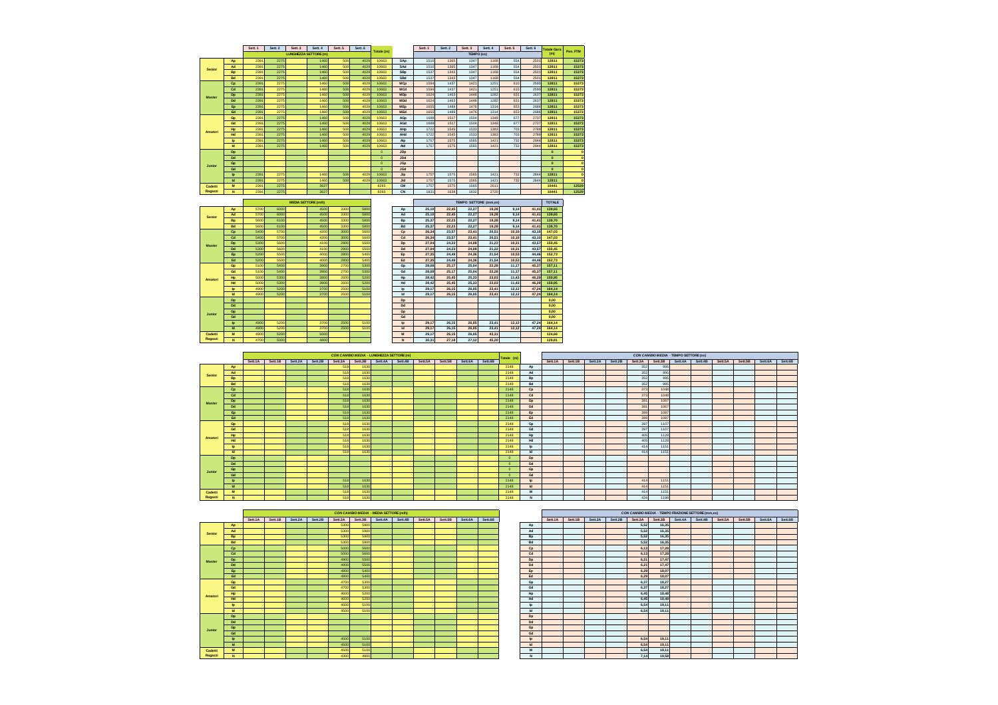|         |              | Sett. 1 | Sett. 2 | Sett. 3 | Sett. 4                      | Sett. 5 | Sett. 6 | Totale (m) |                       | Sett. 1 | Sett. 2 | Sett. 3    | Sett. 4 | Sett. 5 | Sett. 6 | <b>Totale Gara</b> | Pen, FTM |
|---------|--------------|---------|---------|---------|------------------------------|---------|---------|------------|-----------------------|---------|---------|------------|---------|---------|---------|--------------------|----------|
|         |              |         |         |         | <b>LUNGHEZZA SETTORE (m)</b> |         |         |            |                       |         |         | TEMPO (ss) |         |         |         | (m)                |          |
|         | Ap           | 2391    | 2275    |         | 1460                         | 508     | 4029    | 10663      | SAp                   | 1510    | 1365    | 1347       | 1168    | 554     | 2501    | 12811              | 15373    |
| Senior  | Ad           | 2391    | 2275    |         | 1460                         | 508     | 4029    | 10663      | SAd                   | 1510    | 1365    | 1347       | 1168    | 554     | 2501    | 12811              | 15373    |
|         | <b>Bp</b>    | 2391    | 2275    |         | 1460                         | 508     | 4029    | 10663      | <b>SBp</b>            | 1537    | 1343    | 1347       | 1168    | 554     | 2501    | 12811              | 15373    |
|         | Bd           | 2391    | 2275    |         | 1460                         | 508     | 4029    | 10663      | SBd                   | 1537    | 1343    | 1347       | 1168    | 554     | 2501    | 12811              | 15373    |
|         | <b>Cp</b>    | 2391    | 2275    |         | 1460                         | 508     | 4029    | 10663      | <b>MCp</b>            | 1594    | 1437    | 1421       | 1251    | 610     | 2590    | 12811              | 15373    |
|         | Cd           | 2391    | 2275    |         | 1460                         | 508     | 4029    | 10663      | <b>MCd</b>            | 1594    | 1437    | 1421       | 1251    | 610     | 2590    | 12811              | 15373    |
| Master  | Dp           | 2391    | 2275    |         | 1460                         | 508     | 4029    | 10663      | <b>MDo</b>            | 1624    | 1463    | 1448       | 1282    | 631     | 2637    | 12811              | 15373    |
|         | Dd           | 2391    | 2275    |         | 1460                         | 508     | 4029    | 10663      | MDd                   | 1624    | 1463    | 1448       | 1282    | 631     | 2637    | 12811              | 15373    |
|         | Ep           | 2391    | 2275    |         | 1460                         | 508     | 4029    | 10663      | <b>ME<sub>p</sub></b> | 1655    | 1489    | 1476       | 1314    | 653     | 2686    | 12811              | 15373    |
|         | Ed           | 2391    | 2275    |         | 1460                         | 508     | 4029    | 10663      | <b>MEd</b>            | 1655    | 1489    | 1476       | 1314    | 653     | 2686    | 12811              | 15373    |
|         | Go           | 2391    | 2275    |         | 1460                         | 508     | 4029    | 10663      | AGo                   | 1688    | 1517    | 1504       | 1348    | 677     | 2737    | 12811              | 15373    |
|         | Gd           | 2391    | 2275    |         | 1460                         | 508     | 4029    | 10663      | AGd                   | 1688    | 1517    | 1504       | 1348    | 677     | 2737    | 12811              | 15373    |
| Amatori | Hp           | 2391    | 2275    |         | 1460                         | 508     | 4029    | 10663      | AHp                   | 1722    | 1545    | 1533       | 1383    | 703     | 2789    | 12811              | 15373    |
|         | Hd           | 2391    | 2275    |         | 1460                         | 508     | 4029    | 10663      | AHd                   | 1722    | 1545    | 1533       | 1383    | 703     | 2789    | 12811              | 15373    |
|         | <b>b</b>     | 2391    | 2275    |         | 1460                         | 508     | 4029    | 10663      | Alp                   | 1757    | 1575    | 1565       | 1421    | 732     | 2844    | 12811              | 15373    |
|         | <b>Id</b>    | 2391    | 2275    |         | 1460                         | 508     | 4029    | 10663      | Ald                   | 1757    | 1575    | 1565       | 1421    | 732     | 2844    | 12811              | 15373    |
|         | Dp           |         |         |         |                              |         |         | $\circ$    | <b>JDp</b>            |         |         |            |         |         |         | $\bullet$          |          |
|         | Dd           |         |         |         |                              |         |         | $\Omega$   | <b>JDd</b>            |         |         |            |         |         |         | $\bullet$          |          |
| Junior  | Gp           |         |         |         |                              |         |         | $\Omega$   | <b>JGp</b>            |         |         |            |         |         |         | $\Omega$           |          |
|         | Gd           |         |         |         |                              |         |         | $\Omega$   | <b>JGd</b>            |         |         |            |         |         |         | $\Omega$           |          |
|         | <b>lp</b>    | 2391    | 2275    |         | 1460                         | 508     | 4029    | 10663      | <b>Jlp</b>            | 1757    | 1575    | 1565       | 1421    | 732     | 2844    | 12811              |          |
|         | <b>Id</b>    | 2391    | 2275    |         | 1460                         | 508     | 4029    | 10663      | Jld                   | 1757    | 1575    | 1565       | 1421    | 732     | 2844    | 12811              |          |
| Cadetti | M            | 2391    | 2275    |         | 3627                         |         |         | 8293       | CM                    | 1757    | 1575    | 1565       | 2611    |         |         | 10441              | 12529    |
| Ragazzi | $\mathbf{N}$ | 2391    | 2275    |         | 3627                         |         |         | 8293       | CN                    | 1831    | 1638    | 1632       | 2720    |         |         | 10441              | 12529    |

#### **TOTALE TEMPO SETTORE (mm,ss) ApAdBpBdCpCdDpDdEpEdGpGdHpHdIpIdDpDdGpGdIpIdMJuniorCadetti Ragazzi SeniorMaster Amatori**

**MEDIA SETTORE** 

**N** 

| ۹o        | 5700 | 6000 | 4500 | 3300 | 5800 | Ap             | 25.10 | 22.45 | 22,27 | 19,28 | 9.14  | 41.41 | 139.65 |
|-----------|------|------|------|------|------|----------------|-------|-------|-------|-------|-------|-------|--------|
|           | 5700 | 6000 |      | 3300 | 5800 | Ad             | 25.10 | 22.45 | 22.27 |       | 9.14  |       | 139.65 |
| ١d        |      |      | 4500 |      |      |                |       |       |       | 19,28 |       | 41.41 |        |
| 3p        | 5600 | 6100 | 4500 | 3300 | 5800 | <b>Bp</b>      | 25.37 | 22,23 | 22.27 | 19.28 | 9.14  | 41.41 | 139.70 |
| 3d        | 5600 | 6100 | 4500 | 3300 | 5800 | Bd             | 25.37 | 22.23 | 22.27 | 19.28 | 9.14  | 41.41 | 139.70 |
| 5p        | 5400 | 5700 | 4200 | 3000 | 5600 | Cp             | 26.34 | 23.57 | 23,41 | 20.51 | 10.10 | 43.10 | 147.03 |
| 5d        | 5400 | 5700 | 4200 | 3000 | 5600 | Cd             | 26.34 | 23.57 | 23.41 | 20.51 | 10.10 | 43.10 | 147.03 |
| Эp        | 5300 | 5600 | 4100 | 2900 | 5500 | Dp             | 27.04 | 24.23 | 24.08 | 21.22 | 10.31 | 43.57 | 150.45 |
| <b>bd</b> | 5300 | 5600 | 4100 | 2900 | 5500 | Dd             | 27.04 | 24.23 | 24.08 | 21.22 | 10.31 | 43.57 | 150.45 |
| Ep        | 5200 | 5500 | 4000 | 2800 | 5400 | Ep             | 27.35 | 24.49 | 24.36 | 21.54 | 10.53 | 44.46 | 152.73 |
| 6d        | 5200 | 5500 | 4000 | 2800 | 5400 | Ed             | 27.35 | 24.49 | 24.36 | 21.54 | 10.53 | 44.46 | 152.73 |
| 3p        | 5100 | 5400 | 3900 | 2700 | 5300 | Gp             | 28.08 | 25.17 | 25.04 | 22.28 | 11.17 | 45.37 | 157.11 |
| 3d        | 5100 | 5400 | 3900 | 2700 | 5300 | Gd             | 28.08 | 25.17 | 25.04 | 22,28 | 11.17 | 45.37 | 157.11 |
| ۰þ        | 5000 | 5300 | 3800 | 2600 | 5200 | Hp             | 28.42 | 25,45 | 25,33 | 23.03 | 11,43 | 46.29 | 159.95 |
| łd        | 5000 | 5300 | 3800 | 2600 | 5200 | Hd             | 28.42 | 25.45 | 25,33 | 23.03 | 11.43 | 46.29 | 159.95 |
| Þ         | 4900 | 5200 | 3700 | 2500 | 5100 | Ip             | 29.17 | 26.15 | 26.05 | 23.41 | 12,12 | 47.24 | 164.14 |
| ы         | 4900 | 5200 | 3700 | 2500 | 5100 | Id             | 29.17 | 26.15 | 26.05 | 23.41 | 12.12 | 47.24 | 164.14 |
| Эp        |      |      |      |      |      | Dp             |       |       |       |       |       |       | 0.00   |
| <b>bd</b> |      |      |      |      |      | Dd             |       |       |       |       |       |       | 0.00   |
| Эp        |      |      |      |      |      | Gp             |       |       |       |       |       |       | 0.00   |
| 3d        |      |      |      |      |      | Gd             |       |       |       |       |       |       | 0.00   |
| b         | 4900 | 5200 | 3700 | 2500 | 5100 | $\overline{a}$ | 29.17 | 26.15 | 26.05 | 23.41 | 12.12 | 47.24 | 164.14 |
| ы         | 4900 | 5200 | 3700 | 2500 | 5100 | <b>Id</b>      | 29.17 | 26.15 | 26.05 | 23.41 | 12.12 | 47.24 | 164.14 |
| м         | 4900 | 5200 | 5000 |      |      | M              | 29.17 | 26.15 | 26.05 | 43,31 |       |       | 124.68 |
| N         | 4700 | 5000 | 4800 |      |      | $\mathbf{N}$   | 30.31 | 27.18 | 27.12 | 45,20 |       |       | 129.81 |

|               |              |                                 |  |     | CON CAMBIO MEDIA - LUNGHEZZA SETTORE (m) |                                 |         |                         | Totale (m) |                       |                 |         |         |         | CON CAMBIO MEDIA - TEMPO SETTORE (ss) |         |         |         |         |                 |  |
|---------------|--------------|---------------------------------|--|-----|------------------------------------------|---------------------------------|---------|-------------------------|------------|-----------------------|-----------------|---------|---------|---------|---------------------------------------|---------|---------|---------|---------|-----------------|--|
|               |              | Sett.1A Sett.1B Sett.2A Sett.2B |  |     |                                          | Sett.3A Sett.3B Sett.4A Sett.4B | Sett.5A | Sett.5B Sett.6A Sett.6B |            |                       | Sett.1A Sett.1B | Sett.2A | Sett.2B | Sett.3A | Sett.3B                               | Sett.4A | Sett.4B | Sett.5A | Sett.5B | Sett.6A Sett.6B |  |
|               | Ap           |                                 |  | 518 | 1630                                     |                                 |         |                         | 2148       | Ap                    |                 |         |         | 352     | 99                                    |         |         |         |         |                 |  |
| Senior        | Ad           |                                 |  | 518 | 1630                                     |                                 |         |                         | 2148       | Ad                    |                 |         |         | 352     | 99                                    |         |         |         |         |                 |  |
|               | <b>Bp</b>    |                                 |  | 518 | 1630                                     |                                 |         |                         | 2148       | <b>B</b> <sub>D</sub> |                 |         |         | 352     | 99                                    |         |         |         |         |                 |  |
|               | <b>Bd</b>    |                                 |  | 518 | 1630                                     |                                 |         |                         | 2148       | Bd                    |                 |         |         | 352     | 996                                   |         |         |         |         |                 |  |
|               | Cp           |                                 |  | 518 | 1630                                     |                                 |         |                         | 2148       | Co                    |                 |         |         | 373     | 1048                                  |         |         |         |         |                 |  |
|               | Cd           |                                 |  | 518 | 1630                                     |                                 |         |                         | 2148       | Cd                    |                 |         |         | 373     | 104                                   |         |         |         |         |                 |  |
| <b>Master</b> | Do:          |                                 |  | 518 | 1630                                     |                                 |         |                         | 2148       | Do                    |                 |         |         | 381     | 106                                   |         |         |         |         |                 |  |
|               | Dd           |                                 |  | 518 | 1630                                     |                                 |         |                         | 2148       | Dd                    |                 |         |         | 381     | 106                                   |         |         |         |         |                 |  |
|               | Ep.          |                                 |  | 518 | 1630                                     |                                 |         |                         | 2148       | Ep                    |                 |         |         | 389     | 108                                   |         |         |         |         |                 |  |
|               | Fd.          |                                 |  | 518 | 1630                                     |                                 |         |                         | 2148       | Ed                    |                 |         |         | 389     | 108                                   |         |         |         |         |                 |  |
|               | Gp           |                                 |  | 518 | 1630                                     |                                 |         |                         | 2148       | Gp                    |                 |         |         | 397     | 110                                   |         |         |         |         |                 |  |
|               | Gd           |                                 |  | 518 | 1630                                     |                                 |         |                         | 2148       | Gd                    |                 |         |         | 397     | 110                                   |         |         |         |         |                 |  |
| Amatori       | Hp           |                                 |  | 518 | 1630                                     |                                 |         |                         | 2148       | Hp                    |                 |         |         | 405     | 112                                   |         |         |         |         |                 |  |
|               | <b>Hd</b>    |                                 |  | 518 | 1630                                     |                                 |         |                         | 2148       | Hd                    |                 |         |         | 405     | 1128                                  |         |         |         |         |                 |  |
|               | <b>b</b>     |                                 |  | 518 | 1630                                     |                                 |         |                         | 2148       | <b>In</b>             |                 |         |         | 414     | 115                                   |         |         |         |         |                 |  |
|               | M.           |                                 |  | 518 | 1630                                     |                                 |         |                         | 2148       | $\mathbf{H}$          |                 |         |         | 414     | 115                                   |         |         |         |         |                 |  |
|               | Do:          |                                 |  |     |                                          |                                 |         |                         | $\Omega$   | Do                    |                 |         |         |         |                                       |         |         |         |         |                 |  |
|               | Dd           |                                 |  |     |                                          |                                 |         |                         |            | Dd                    |                 |         |         |         |                                       |         |         |         |         |                 |  |
| Junior        | Go           |                                 |  |     |                                          |                                 |         |                         | $\sim$     | Go                    |                 |         |         |         |                                       |         |         |         |         |                 |  |
|               | Gd           |                                 |  |     |                                          |                                 |         |                         |            | Gd                    |                 |         |         |         |                                       |         |         |         |         |                 |  |
|               | $\mathbf{b}$ |                                 |  | 518 | 1630                                     |                                 |         |                         | 2148       | $\mathbf{I}$          |                 |         |         | 414     | 115                                   |         |         |         |         |                 |  |
|               | м            |                                 |  | 518 | 1630                                     |                                 |         |                         | 2148       | $\mathsf{Id}$         |                 |         |         | 414     | 115'                                  |         |         |         |         |                 |  |
| Cadetti       | M            |                                 |  | 518 | 1630                                     |                                 |         |                         | 2148       | $\mathbf{M}$          |                 |         |         | 414     | 115                                   |         |         |         |         |                 |  |
| Ragazzi       | N            |                                 |  | 518 | 1630                                     |                                 |         |                         | 2148       | $\mathbf{M}$          |                 |         |         | 434     | 119                                   |         |         |         |         |                 |  |

|         |              |         |         |         |         |         | CON CAMBIO MEDIA - MEDIA SETTORE (m/h) |         |         |         |         |         |         |               |         |         |         |         | CON CAMBIO MEDIA - TEMP |         |
|---------|--------------|---------|---------|---------|---------|---------|----------------------------------------|---------|---------|---------|---------|---------|---------|---------------|---------|---------|---------|---------|-------------------------|---------|
|         |              | Sett.1A | Sett.1B | Sett.2A | Sett.2B | Sett.3A | Sett.3B                                | Sett.4A | Sett.4B | Sett.5A | Sett.5B | Sett.6A | Sett.6B |               | Sett.1A | Sett.1B | Sett.2A | Sett.2B | Sett.3A                 | Sett.3B |
|         | Ap           |         |         |         |         | 5300    | 5900                                   |         |         |         |         |         |         | Ap            |         |         |         |         | 5,52                    | 16,35   |
| Senior  | Ad           |         |         |         |         | 5300    | 5900                                   |         |         |         |         |         |         | Ad            |         |         |         |         | 5,52                    | 16,35   |
|         | <b>Bp</b>    |         |         |         |         | 5300    | 5900                                   |         |         |         |         |         |         | Bp            |         |         |         |         | 5,52                    | 16,35   |
|         | Bd           |         |         |         |         | 5300    | 5900                                   |         |         |         |         |         |         | Bd            |         |         |         |         | 5.52                    | 16,35   |
|         | <b>Cp</b>    |         |         |         |         | 5000    | 5600                                   |         |         |         |         |         |         | Cp            |         |         |         |         | 6.13                    | 17,28   |
|         | Cd           |         |         |         |         | 5000    | 5600                                   |         |         |         |         |         |         | Cd            |         |         |         |         | 6.13                    | 17,28   |
| Master  | Dp           |         |         |         |         | 4900    | 5500                                   |         |         |         |         |         |         | Dp            |         |         |         |         | 6.21                    | 17,47   |
|         | Dd           |         |         |         |         | 4900    | 5500                                   |         |         |         |         |         |         | Dd            |         |         |         |         | 6,21                    | 17,47   |
|         | Ep           |         |         |         |         | 4800    | 5400                                   |         |         |         |         |         |         | Ep            |         |         |         |         | 6,29                    | 18,07   |
|         | Ed           |         |         |         |         | 4800    | 5400                                   |         |         |         |         |         |         | Ed            |         |         |         |         | 6.29                    | 18,07   |
|         | Gp           |         |         |         |         | 4700    | 5300                                   |         |         |         |         |         |         | Gp            |         |         |         |         | 6,37                    | 18,27   |
|         | Gd           |         |         |         |         | 4700    | 5300                                   |         |         |         |         |         |         | Gd            |         |         |         |         | 6,37                    | 18,27   |
|         | Hp           |         |         |         |         | 4600    | 5200                                   |         |         |         |         |         |         | Hp            |         |         |         |         | 6,45                    | 18,48   |
| Amatori | Hd           |         |         |         |         | 4600    | 5200                                   |         |         |         |         |         |         | Hd            |         |         |         |         | 6,45                    | 18,48   |
|         | <b>b</b>     |         |         |         |         | 4500    | 5100                                   |         |         |         |         |         |         | $\mathsf{I}$  |         |         |         |         | 6,54                    | 19,11   |
|         | <b>kd</b>    |         |         |         |         | 4500    | 5100                                   |         |         |         |         |         |         | <b>Id</b>     |         |         |         |         | 6.54                    | 19,11   |
|         | Dp           |         |         |         |         |         |                                        |         |         |         |         |         |         | Dp            |         |         |         |         |                         |         |
|         | Dd           |         |         |         |         |         |                                        |         |         |         |         |         |         | Dd            |         |         |         |         |                         |         |
|         | Gp           |         |         |         |         |         |                                        |         |         |         |         |         |         | Gp            |         |         |         |         |                         |         |
| Junior  | Gd           |         |         |         |         |         |                                        |         |         |         |         |         |         | Gd            |         |         |         |         |                         |         |
|         | <b>b</b>     |         |         |         |         | 4500    | 5100                                   |         |         |         |         |         |         | $\mathsf{I}$  |         |         |         |         | 6,54                    | 19,11   |
|         | <b>kd</b>    |         |         |         |         | 4500    | 5100                                   |         |         |         |         |         |         | $\mathsf{Id}$ |         |         |         |         | 6,54                    | 19,11   |
| Cadetti | M            |         |         |         |         | 4500    | 5100                                   |         |         |         |         |         |         | M             |         |         |         |         | 6,54                    | 19,11   |
| Ragazzi | $\mathbf{N}$ |         |         |         |         | 4300    | 4900                                   |         |         |         |         |         |         | $\mathbf{N}$  |         |         |         |         | 7.14                    | 19,58   |

|         |         | CON CAMBIO MEDIA - MEDIA SETTORE (m/h) |         |              |              |         |         |         |         |         |         |  |  |
|---------|---------|----------------------------------------|---------|--------------|--------------|---------|---------|---------|---------|---------|---------|--|--|
| Sett.1A | Sett.1B | Sett.2A                                | Sett.2B | Sett.3A      | Sett.3B      | Sett.4A | Sett.4B | Sett.5A | Sett.5B | Sett.6A | Sett.6B |  |  |
|         |         |                                        |         | 5300         | 5900         |         |         |         |         |         |         |  |  |
|         |         |                                        |         | 5300         | 5900         |         |         |         |         |         |         |  |  |
|         |         |                                        |         | 5300         | 5900         |         |         |         |         |         |         |  |  |
|         |         |                                        |         | 5300         | 5900         |         |         |         |         |         |         |  |  |
|         |         |                                        |         | 5000         | 5600         |         |         |         |         |         |         |  |  |
|         |         |                                        |         | 5000         | 5600         |         |         |         |         |         |         |  |  |
|         |         |                                        |         | 4900<br>4900 | 5500<br>5500 |         |         |         |         |         |         |  |  |
|         |         |                                        |         | 4800         | 5400         |         |         |         |         |         |         |  |  |
|         |         |                                        |         | 4800         | 5400         |         |         |         |         |         |         |  |  |
|         |         |                                        |         | 4700         | 5300         |         |         |         |         |         |         |  |  |
|         |         |                                        |         | 4700         | 5300         |         |         |         |         |         |         |  |  |
|         |         |                                        |         | 4600         | 5200         |         |         |         |         |         |         |  |  |
|         |         |                                        |         | 4600         | 5200         |         |         |         |         |         |         |  |  |
|         |         |                                        |         | 4500         | 5100         |         |         |         |         |         |         |  |  |
|         |         |                                        |         | 4500         | 5100         |         |         |         |         |         |         |  |  |
|         |         |                                        |         |              |              |         |         |         |         |         |         |  |  |
|         |         |                                        |         |              |              |         |         |         |         |         |         |  |  |
|         |         |                                        |         |              |              |         |         |         |         |         |         |  |  |
|         |         |                                        |         |              |              |         |         |         |         |         |         |  |  |
|         |         |                                        |         | 4500         | 5100         |         |         |         |         |         |         |  |  |
|         |         |                                        |         | 4500         | 5100         |         |         |         |         |         |         |  |  |
|         |         |                                        |         | 4500         | 5100         |         |         |         |         |         |         |  |  |
|         |         |                                        |         | 4300         | 4900         |         |         |         |         |         |         |  |  |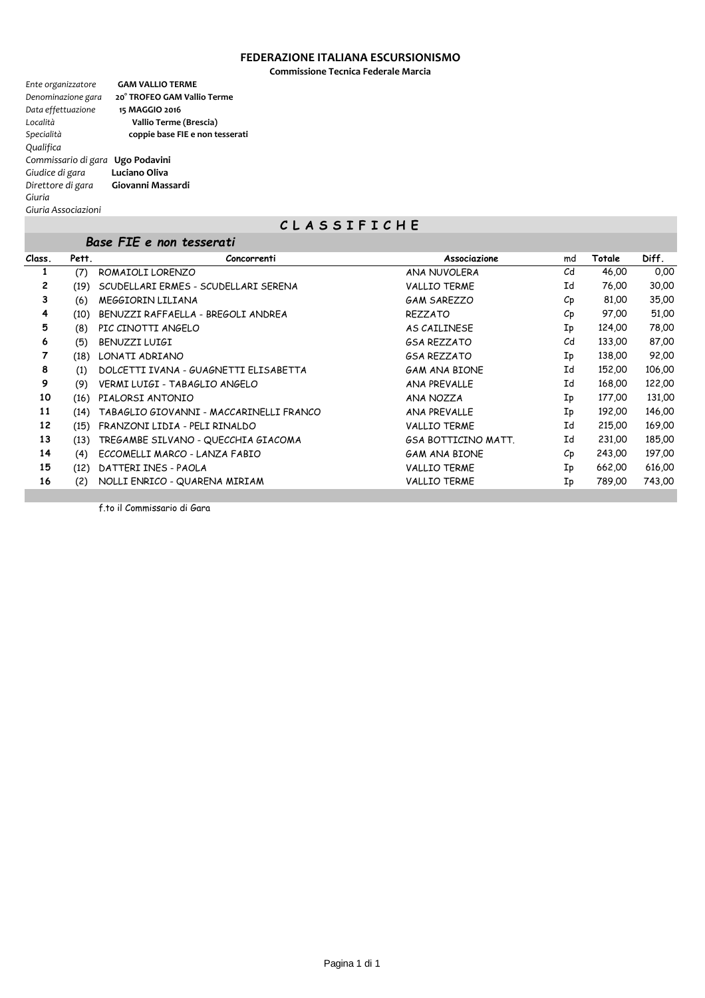### **FEDERAZIONE ITALIANA ESCURSIONISMO**

**Commissione Tecnica Federale Marcia**

| Ente organizzatore               | <b>GAM VALLIO TERME</b>         |
|----------------------------------|---------------------------------|
| Denominazione gara               | 20° TROFEO GAM Vallio Terme     |
| Data effettuazione               | 15 MAGGIO 2016                  |
| Località                         | Vallio Terme (Brescia)          |
| Specialità                       | coppie base FIE e non tesserati |
| Qualifica                        |                                 |
| Commissario di gara Ugo Podavini |                                 |
| Giudice di gara                  | Luciano Oliva                   |
| Direttore di gara                | Giovanni Massardi               |
| Giuria                           |                                 |
| Giuria Associazioni              |                                 |

# **C L A S S I F I C H E**

|        |       | Base FIE e non tesserati                |                            |                  |        |        |
|--------|-------|-----------------------------------------|----------------------------|------------------|--------|--------|
| Class. | Pett. | Concorrenti                             | Associazione               | md               | Totale | Diff.  |
| 1      | (7)   | ROMAIOLI LORENZO                        | ANA NUVOLERA               | C <sub>d</sub>   | 46,00  | 0,00   |
| 2      | (19)  | SCUDELLARI ERMES - SCUDELLARI SERENA    | <b>VALLIO TERME</b>        | Ιd               | 76,00  | 30,00  |
| 3      | (6)   | MEGGIORIN LILIANA                       | <b>GAM SAREZZO</b>         | $C_{\mathsf{P}}$ | 81,00  | 35,00  |
| 4      | (10)  | BENUZZI RAFFAELLA - BREGOLI ANDREA      | <b>REZZATO</b>             | $C_{\mathsf{P}}$ | 97,00  | 51,00  |
| 5      | (8)   | PIC CINOTTI ANGELO                      | AS CAILINESE               | Ip               | 124,00 | 78,00  |
| 6      | (5)   | BENUZZI LUIGI                           | <b>GSA REZZATO</b>         | C <sub>d</sub>   | 133,00 | 87,00  |
| 7      | (18)  | LONATI ADRIANO                          | <b>GSA REZZATO</b>         | Ip               | 138,00 | 92,00  |
| 8      | (1)   | DOLCETTI IVANA - GUAGNETTI ELISABETTA   | <b>GAM ANA BIONE</b>       | Id               | 152,00 | 106,00 |
| 9      | (9)   | VERMI LUIGI - TABAGLIO ANGELO           | <b>ANA PREVALLE</b>        | Id               | 168,00 | 122,00 |
| 10     | (16)  | PIALORSI ANTONIO                        | ANA NOZZA                  | Ip               | 177,00 | 131,00 |
| 11     | (14)  | TABAGLIO GIOVANNI - MACCARINELLI FRANCO | <b>ANA PREVALLE</b>        | Ip               | 192,00 | 146,00 |
| 12     | (15)  | FRANZONI LIDIA - PELI RINALDO           | <b>VALLIO TERME</b>        | Id               | 215,00 | 169,00 |
| 13     | (13)  | TREGAMBE SILVANO - QUECCHIA GIACOMA     | <b>GSA BOTTICINO MATT.</b> | Id               | 231,00 | 185,00 |
| 14     | (4)   | ECCOMELLI MARCO - LANZA FABIO           | <b>GAM ANA BIONE</b>       | $C_{\mathsf{D}}$ | 243,00 | 197,00 |
| 15     | (12)  | DATTERI INES - PAOLA                    | <b>VALLIO TERME</b>        | Ip               | 662,00 | 616,00 |
| 16     | (2)   | NOLLI ENRICO - QUARENA MIRIAM           | <b>VALLIO TERME</b>        | Ip               | 789,00 | 743,00 |

f.to il Commissario di Gara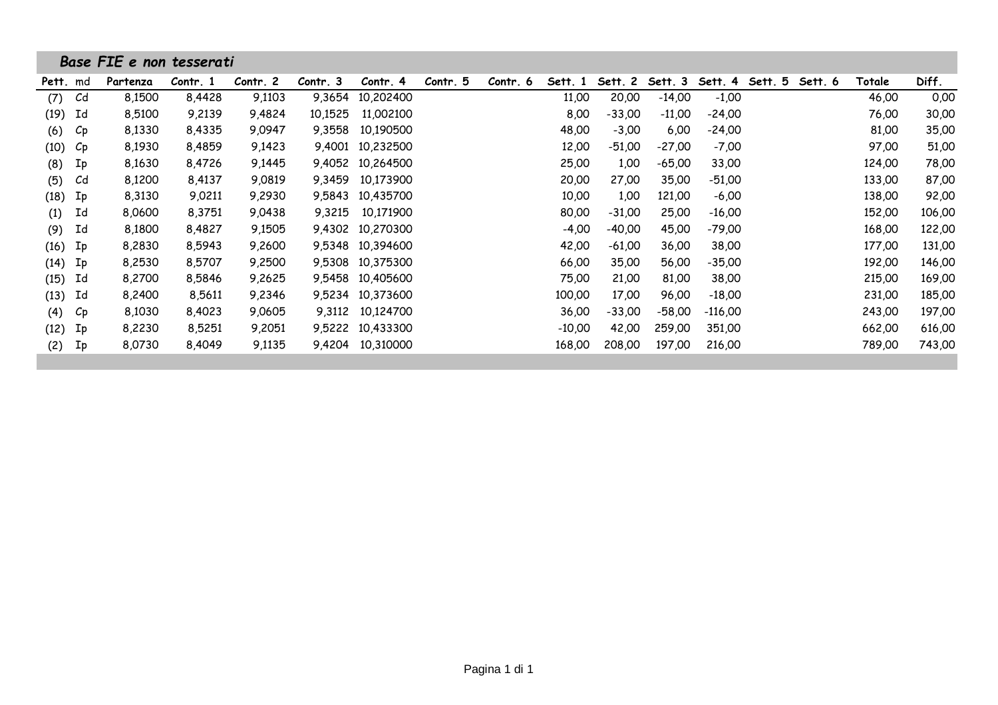|                         | Base FIE e non tesserati |          |          |          |           |          |          |          |          |          |           |         |         |        |        |
|-------------------------|--------------------------|----------|----------|----------|-----------|----------|----------|----------|----------|----------|-----------|---------|---------|--------|--------|
| Pett. md                | Partenza                 | Contr. 1 | Contr. 2 | Contr. 3 | Contr. 4  | Contr. 5 | Contr. 6 | Sett. 1  | Sett. 2  | Sett. 3  | Sett. 4   | Sett. 5 | Sett. 6 | Totale | Diff.  |
| (7)<br>C <sub>d</sub>   | 8,1500                   | 8,4428   | 9,1103   | 9,3654   | 10,202400 |          |          | 11,00    | 20,00    | $-14,00$ | $-1,00$   |         |         | 46,00  | 0,00   |
| Id<br>(19)              | 8,5100                   | 9,2139   | 9,4824   | 10,1525  | 11,002100 |          |          | 8,00     | $-33,00$ | $-11,00$ | -24,00    |         |         | 76,00  | 30,00  |
| (6)<br>$C_{\mathsf{P}}$ | 8,1330                   | 8,4335   | 9,0947   | 9,3558   | 10,190500 |          |          | 48,00    | $-3,00$  | 6,00     | -24,00    |         |         | 81,00  | 35,00  |
| (10)<br>$C_{\rm p}$     | 8,1930                   | 8,4859   | 9,1423   | 9,4001   | 10,232500 |          |          | 12,00    | $-51,00$ | $-27,00$ | $-7,00$   |         |         | 97,00  | 51,00  |
| (8)<br>Ip               | 8,1630                   | 8,4726   | 9,1445   | 9,4052   | 10,264500 |          |          | 25,00    | 1,00     | $-65,00$ | 33,00     |         |         | 124,00 | 78,00  |
| Cd<br>(5)               | 8,1200                   | 8,4137   | 9,0819   | 9,3459   | 10,173900 |          |          | 20,00    | 27,00    | 35,00    | $-51,00$  |         |         | 133,00 | 87,00  |
| (18)<br>Ip              | 8,3130                   | 9,0211   | 9,2930   | 9,5843   | 10,435700 |          |          | 10,00    | 1,00     | 121,00   | $-6,00$   |         |         | 138,00 | 92,00  |
| Ιd<br>(1)               | 8,0600                   | 8,3751   | 9,0438   | 9,3215   | 10,171900 |          |          | 80,00    | $-31,00$ | 25,00    | $-16,00$  |         |         | 152,00 | 106,00 |
| Ιd<br>(9)               | 8,1800                   | 8,4827   | 9,1505   | 9,4302   | 10,270300 |          |          | $-4,00$  | $-40,00$ | 45,00    | $-79,00$  |         |         | 168,00 | 122,00 |
| (16)<br>Ip              | 8,2830                   | 8,5943   | 9,2600   | 9,5348   | 10,394600 |          |          | 42,00    | $-61,00$ | 36,00    | 38,00     |         |         | 177,00 | 131,00 |
| (14)<br>Ip              | 8,2530                   | 8,5707   | 9,2500   | 9,5308   | 10,375300 |          |          | 66,00    | 35,00    | 56,00    | -35,00    |         |         | 192,00 | 146,00 |
| Ιd<br>(15)              | 8,2700                   | 8,5846   | 9,2625   | 9,5458   | 10,405600 |          |          | 75,00    | 21,00    | 81,00    | 38,00     |         |         | 215,00 | 169,00 |
| Id<br>(13)              | 8,2400                   | 8,5611   | 9,2346   | 9,5234   | 10,373600 |          |          | 100,00   | 17,00    | 96,00    | $-18,00$  |         |         | 231,00 | 185,00 |
| (4)<br>$C_{\mathsf{P}}$ | 8,1030                   | 8,4023   | 9,0605   | 9,3112   | 10,124700 |          |          | 36,00    | $-33,00$ | $-58,00$ | $-116,00$ |         |         | 243,00 | 197,00 |
| (12)<br>Ip              | 8,2230                   | 8,5251   | 9,2051   | 9,5222   | 10,433300 |          |          | $-10,00$ | 42,00    | 259,00   | 351,00    |         |         | 662,00 | 616,00 |
| (2)<br>Ip               | 8,0730                   | 8,4049   | 9,1135   | 9,4204   | 10,310000 |          |          | 168,00   | 208,00   | 197,00   | 216,00    |         |         | 789,00 | 743,00 |
|                         |                          |          |          |          |           |          |          |          |          |          |           |         |         |        |        |